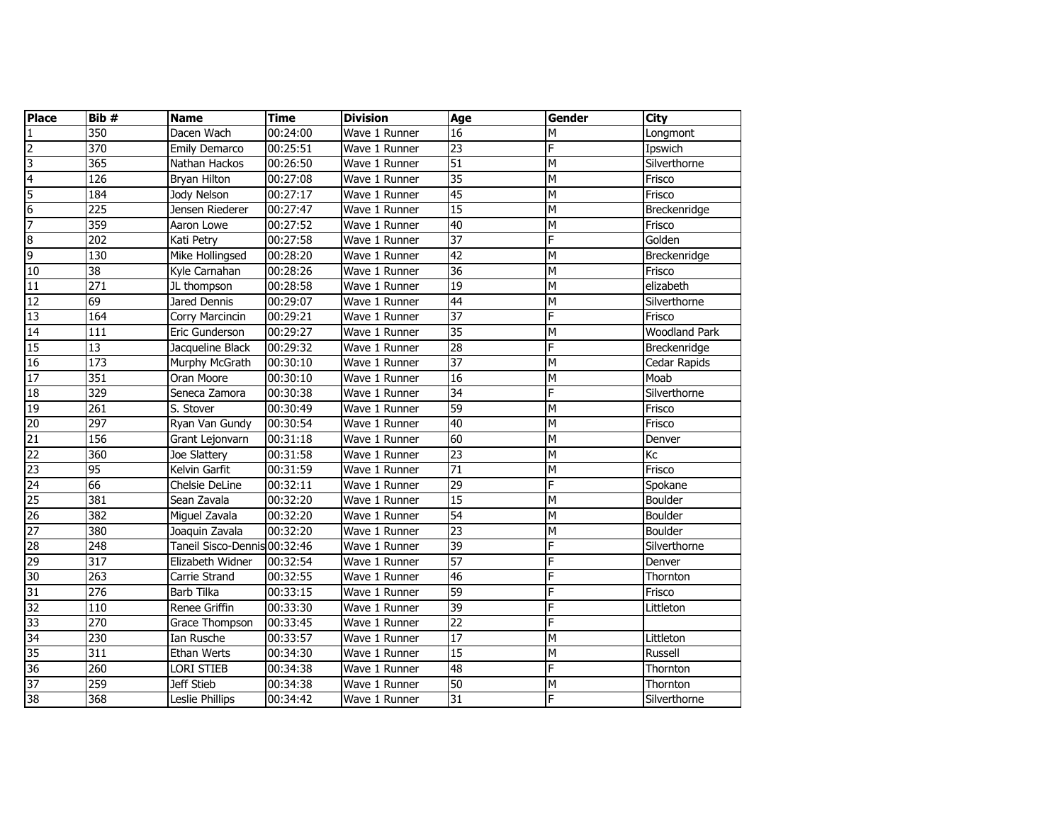| <b>Place</b>             | Bib #            | <b>Name</b>                  | <b>Time</b> | <b>Division</b> | Age             | <b>Gender</b>  | City                 |
|--------------------------|------------------|------------------------------|-------------|-----------------|-----------------|----------------|----------------------|
| 1                        | 350              | Dacen Wach                   | 00:24:00    | Wave 1 Runner   | $\overline{16}$ | M              | Longmont             |
| $\overline{2}$           | 370              | Emily Demarco                | 00:25:51    | Wave 1 Runner   | 23              | F              | Ipswich              |
| 3                        | 365              | Nathan Hackos                | 00:26:50    | Wave 1 Runner   | 51              | M              | Silverthorne         |
| $\overline{\mathcal{A}}$ | 126              | <b>Bryan Hilton</b>          | 00:27:08    | Wave 1 Runner   | $\overline{35}$ | M              | Frisco               |
| 5                        | 184              | Jody Nelson                  | 00:27:17    | Wave 1 Runner   | 45              | M              | Frisco               |
| 6                        | 225              | Jensen Riederer              | 00:27:47    | Wave 1 Runner   | 15              | M              | Breckenridge         |
| 7                        | 359              | Aaron Lowe                   | 00:27:52    | Wave 1 Runner   | 40              | M              | Frisco               |
| $\overline{8}$           | 202              | Kati Petry                   | 00:27:58    | Wave 1 Runner   | $\overline{37}$ | F              | Golden               |
| 9                        | 130              | Mike Hollingsed              | 00:28:20    | Wave 1 Runner   | 42              | M              | Breckenridge         |
| 10                       | $\overline{38}$  | Kyle Carnahan                | 00:28:26    | Wave 1 Runner   | $\overline{36}$ | M              | Frisco               |
| 11                       | 271              | JL thompson                  | 00:28:58    | Wave 1 Runner   | $\overline{19}$ | $\overline{M}$ | elizabeth            |
| 12                       | 69               | Jared Dennis                 | 00:29:07    | Wave 1 Runner   | 44              | M              | Silverthorne         |
| 13                       | 164              | Corry Marcincin              | 00:29:21    | Wave 1 Runner   | $\overline{37}$ | F              | Frisco               |
| 14                       | 111              | Eric Gunderson               | 00:29:27    | Wave 1 Runner   | $\overline{35}$ | M              | <b>Woodland Park</b> |
| 15                       | 13               | Jacqueline Black             | 00:29:32    | Wave 1 Runner   | 28              | F              | Breckenridge         |
| 16                       | $\overline{173}$ | Murphy McGrath               | 00:30:10    | Wave 1 Runner   | $\overline{37}$ | M              | Cedar Rapids         |
| 17                       | 351              | Oran Moore                   | 00:30:10    | Wave 1 Runner   | 16              | M              | Moab                 |
| 18                       | 329              | Seneca Zamora                | 00:30:38    | Wave 1 Runner   | 34              | F              | Silverthorne         |
| 19                       | 261              | S. Stover                    | 00:30:49    | Wave 1 Runner   | 59              | M              | Frisco               |
| 20                       | 297              | Ryan Van Gundy               | 00:30:54    | Wave 1 Runner   | 40              | M              | Frisco               |
| $\overline{21}$          | 156              | Grant Lejonvarn              | 00:31:18    | Wave 1 Runner   | 60              | M              | Denver               |
| $\overline{22}$          | 360              | Joe Slattery                 | 00:31:58    | Wave 1 Runner   | $\overline{23}$ | M              | Kc                   |
| $\overline{\text{S}}$    | 95               | Kelvin Garfit                | 00:31:59    | Wave 1 Runner   | $\overline{71}$ | $\overline{M}$ | Frisco               |
| 24                       | 66               | Chelsie DeLine               | 00:32:11    | Wave 1 Runner   | 29              | F              | Spokane              |
| 25                       | 381              | Sean Zavala                  | 00:32:20    | Wave 1 Runner   | $\overline{15}$ | M              | Boulder              |
| 26                       | 382              | Miguel Zavala                | 00:32:20    | Wave 1 Runner   | 54              | M              | Boulder              |
| 27                       | 380              | Joaquin Zavala               | 00:32:20    | Wave 1 Runner   | 23              | M              | Boulder              |
| 28                       | 248              | Taneil Sisco-Dennis 00:32:46 |             | Wave 1 Runner   | 39              | F              | Silverthorne         |
| 29                       | 317              | Elizabeth Widner             | 00:32:54    | Wave 1 Runner   | $\overline{57}$ | F              | Denver               |
| 30                       | 263              | Carrie Strand                | 00:32:55    | Wave 1 Runner   | 46              | F              | Thornton             |
| 31                       | $\overline{276}$ | <b>Barb Tilka</b>            | 00:33:15    | Wave 1 Runner   | $\overline{59}$ | F              | Frisco               |
| 32                       | 110              | Renee Griffin                | 00:33:30    | Wave 1 Runner   | 39              | F              | Littleton            |
| 33                       | 270              | Grace Thompson               | 00:33:45    | Wave 1 Runner   | $\overline{22}$ | F              |                      |
| 34                       | 230              | Ian Rusche                   | 00:33:57    | Wave 1 Runner   | $\overline{17}$ | M              | Littleton            |
| 35                       | 311              | Ethan Werts                  | 00:34:30    | Wave 1 Runner   | $\overline{15}$ | M              | Russell              |
| 36                       | 260              | Lori Stieb                   | 00:34:38    | Wave 1 Runner   | 48              | F              | Thornton             |
| 37                       | 259              | <b>Jeff Stieb</b>            | 00:34:38    | Wave 1 Runner   | 50              | M              | Thornton             |
| 38                       | 368              | Leslie Phillips              | 00:34:42    | Wave 1 Runner   | 31              | F              | Silverthorne         |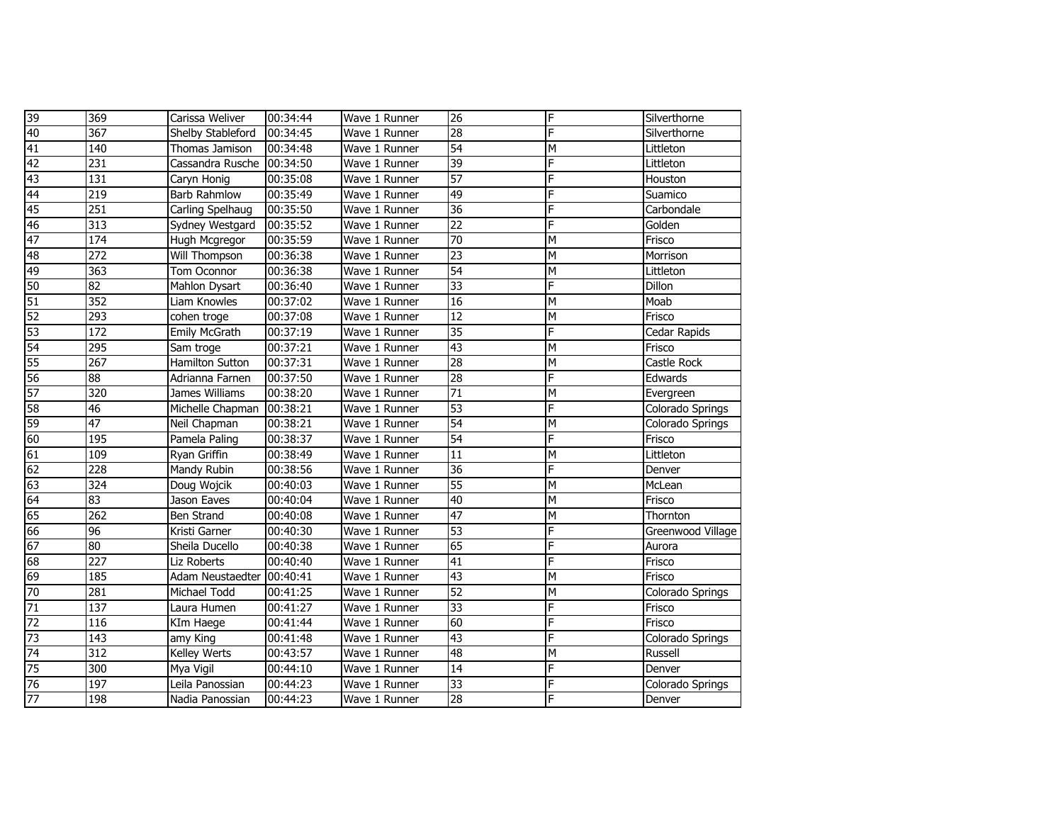| 39              | 369              | Carissa Weliver      | 00:34:44 | Wave 1 Runner | $\overline{26}$ | F | Silverthorne      |
|-----------------|------------------|----------------------|----------|---------------|-----------------|---|-------------------|
| $\overline{40}$ | 367              | Shelby Stableford    | 00:34:45 | Wave 1 Runner | $\overline{28}$ | F | Silverthorne      |
| 41              | 140              | Thomas Jamison       | 00:34:48 | Wave 1 Runner | $\overline{54}$ | M | Littleton         |
| 42              | 231              | Cassandra Rusche     | 00:34:50 | Wave 1 Runner | 39              | F | Littleton         |
| 43              | 131              | Caryn Honig          | 00:35:08 | Wave 1 Runner | $\overline{57}$ | F | Houston           |
| 44              | 219              | <b>Barb Rahmlow</b>  | 00:35:49 | Wave 1 Runner | 49              | F | Suamico           |
| 45              | 251              | Carling Spelhaug     | 00:35:50 | Wave 1 Runner | $\overline{36}$ | F | Carbondale        |
| 46              | 313              | Sydney Westgard      | 00:35:52 | Wave 1 Runner | $\overline{22}$ | F | Golden            |
| 47              | 174              | Hugh Mcgregor        | 00:35:59 | Wave 1 Runner | $\overline{70}$ | M | Frisco            |
| 48              | 272              | <b>Will Thompson</b> | 00:36:38 | Wave 1 Runner | $\overline{23}$ | M | Morrison          |
| 49              | 363              | Tom Oconnor          | 00:36:38 | Wave 1 Runner | 54              | M | Littleton         |
| 50              | 82               | Mahlon Dysart        | 00:36:40 | Wave 1 Runner | $\overline{33}$ | F | Dillon            |
| 51              | 352              | Liam Knowles         | 00:37:02 | Wave 1 Runner | 16              | M | Moab              |
| 52              | $\overline{293}$ | cohen troge          | 00:37:08 | Wave 1 Runner | $\overline{12}$ | M | Frisco            |
| 53              | 172              | Emily McGrath        | 00:37:19 | Wave 1 Runner | $\overline{35}$ | F | Cedar Rapids      |
| 54              | 295              | Sam troge            | 00:37:21 | Wave 1 Runner | 43              | M | Frisco            |
| 55              | 267              | Hamilton Sutton      | 00:37:31 | Wave 1 Runner | $\overline{28}$ | M | Castle Rock       |
| 56              | 88               | Adrianna Farnen      | 00:37:50 | Wave 1 Runner | 28              | F | Edwards           |
| 57              | 320              | James Williams       | 00:38:20 | Wave 1 Runner | $\overline{71}$ | M | Evergreen         |
| 58              | $\overline{46}$  | Michelle Chapman     | 00:38:21 | Wave 1 Runner | $\overline{53}$ | F | Colorado Springs  |
| 59              | 47               | Neil Chapman         | 00:38:21 | Wave 1 Runner | 54              | M | Colorado Springs  |
| 60              | 195              | Pamela Paling        | 00:38:37 | Wave 1 Runner | $\overline{54}$ | F | Frisco            |
| 61              | 109              | Ryan Griffin         | 00:38:49 | Wave 1 Runner | $\overline{11}$ | M | Littleton         |
| 62              | 228              | Mandy Rubin          | 00:38:56 | Wave 1 Runner | $\overline{36}$ | F | Denver            |
| 63              | 324              | Doug Wojcik          | 00:40:03 | Wave 1 Runner | $\overline{55}$ | M | McLean            |
| 64              | 83               | Jason Eaves          | 00:40:04 | Wave 1 Runner | 40              | M | Frisco            |
| 65              | $\overline{262}$ | <b>Ben Strand</b>    | 00:40:08 | Wave 1 Runner | $\overline{47}$ | M | Thornton          |
| 66              | 96               | Kristi Garner        | 00:40:30 | Wave 1 Runner | $\overline{53}$ | F | Greenwood Village |
| 67              | 80               | Sheila Ducello       | 00:40:38 | Wave 1 Runner | 65              | F | Aurora            |
| 68              | 227              | Liz Roberts          | 00:40:40 | Wave 1 Runner | $\overline{41}$ | F | Frisco            |
| 69              | 185              | Adam Neustaedter     | 00:40:41 | Wave 1 Runner | $\overline{43}$ | M | Frisco            |
| 70              | 281              | Michael Todd         | 00:41:25 | Wave 1 Runner | 52              | M | Colorado Springs  |
| 71              | 137              | Laura Humen          | 00:41:27 | Wave 1 Runner | $\overline{33}$ | F | Frisco            |
| 72              | 116              | KIm Haege            | 00:41:44 | Wave 1 Runner | $\overline{60}$ | F | Frisco            |
| $\overline{73}$ | 143              | amy King             | 00:41:48 | Wave 1 Runner | 43              | F | Colorado Springs  |
| 74              | $\overline{312}$ | Kelley Werts         | 00:43:57 | Wave 1 Runner | 48              | M | Russell           |
| 75              | 300              | Mya Vigil            | 00:44:10 | Wave 1 Runner | 14              | F | Denver            |
| 76              | 197              | Leila Panossian      | 00:44:23 | Wave 1 Runner | 33              | F | Colorado Springs  |
| 77              | 198              | Nadia Panossian      | 00:44:23 | Wave 1 Runner | 28              | F | Denver            |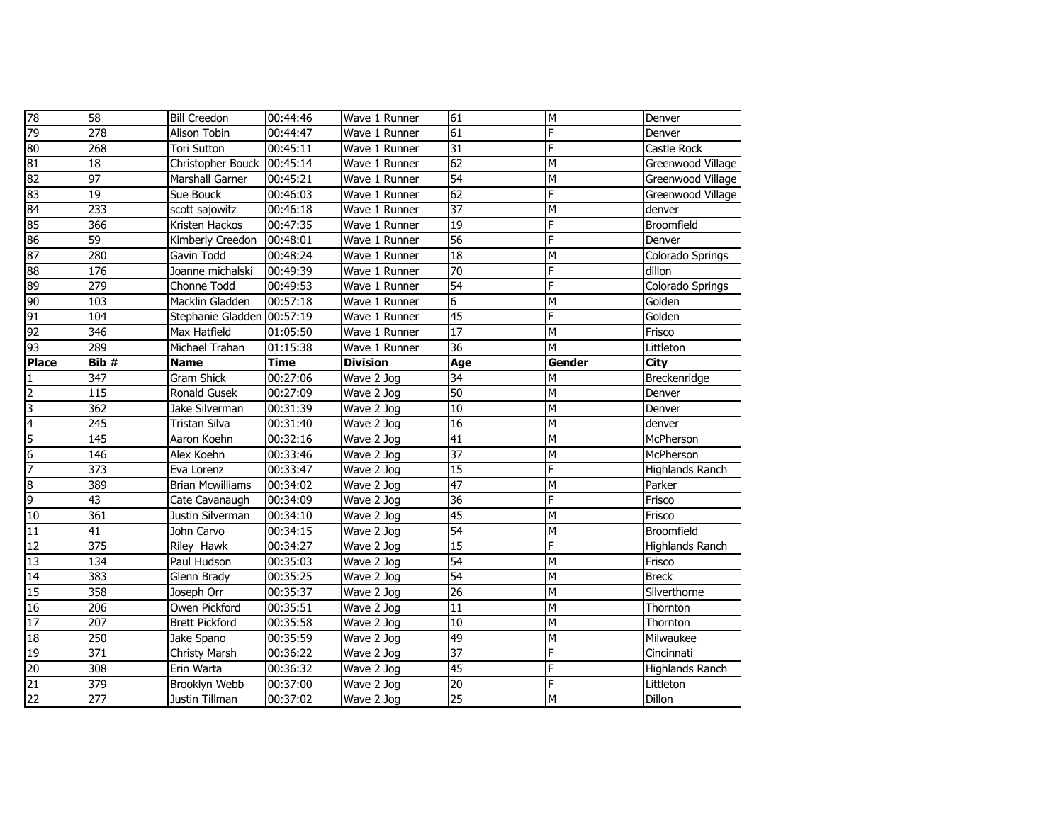| 78              | 58               | <b>Bill Creedon</b>        | 00:44:46    | Wave 1 Runner   | 61              | M      | Denver                 |
|-----------------|------------------|----------------------------|-------------|-----------------|-----------------|--------|------------------------|
| 79              | $\overline{278}$ | Alison Tobin               | 00:44:47    | Wave 1 Runner   | $\overline{61}$ | F      | Denver                 |
| 80              | 268              | Tori Sutton                | 00:45:11    | Wave 1 Runner   | $\overline{31}$ | F      | Castle Rock            |
| 81              | 18               | Christopher Bouck 00:45:14 |             | Wave 1 Runner   | 62              | M      | Greenwood Village      |
| 82              | 97               | Marshall Garner            | 00:45:21    | Wave 1 Runner   | 54              | M      | Greenwood Village      |
| 83              | 19               | Sue Bouck                  | 00:46:03    | Wave 1 Runner   | 62              | F      | Greenwood Village      |
| 84              | 233              | scott sajowitz             | 00:46:18    | Wave 1 Runner   | $\overline{37}$ | M      | denver                 |
| 85              | 366              | Kristen Hackos             | 00:47:35    | Wave 1 Runner   | 19              | F      | <b>Broomfield</b>      |
| 86              | 59               | Kimberly Creedon           | 00:48:01    | Wave 1 Runner   | $\overline{56}$ | F      | Denver                 |
| 87              | 280              | Gavin Todd                 | 00:48:24    | Wave 1 Runner   | $\overline{18}$ | M      | Colorado Springs       |
| 88              | 176              | Joanne michalski           | 00:49:39    | Wave 1 Runner   | $\overline{70}$ | F      | dillon                 |
| 89              | 279              | Chonne Todd                | 00:49:53    | Wave 1 Runner   | 54              | F      | Colorado Springs       |
| 90              | 103              | Macklin Gladden            | 00:57:18    | Wave 1 Runner   | $\overline{6}$  | M      | Golden                 |
| 91              | 104              | Stephanie Gladden 00:57:19 |             | Wave 1 Runner   | $\overline{45}$ | F      | Golden                 |
| 92              | 346              | Max Hatfield               | 01:05:50    | Wave 1 Runner   | $\overline{17}$ | M      | Frisco                 |
| 93              | 289              | Michael Trahan             | 01:15:38    | Wave 1 Runner   | $\overline{36}$ | М      | Littleton              |
| <b>Place</b>    | Bib #            | <b>Name</b>                | <b>Time</b> | <b>Division</b> | Age             | Gender | <b>City</b>            |
| $\mathbf{1}$    | 347              | <b>Gram Shick</b>          | 00:27:06    | Wave 2 Jog      | 34              | М      | Breckenridge           |
| $\overline{2}$  | 115              | Ronald Gusek               | 00:27:09    | Wave 2 Jog      | $\overline{50}$ | M      | Denver                 |
| 3               | $\overline{362}$ | Jake Silverman             | 00:31:39    | Wave 2 Jog      | 10              | M      | Denver                 |
| $\overline{4}$  | $\overline{245}$ | <b>Tristan Silva</b>       | 00:31:40    | Wave 2 Jog      | $\overline{16}$ | M      | denver                 |
| 5               | 145              | Aaron Koehn                | 00:32:16    | Wave 2 Jog      | 41              | M      | McPherson              |
| $6\overline{6}$ | 146              | Alex Koehn                 | 00:33:46    | Wave 2 Jog      | $\overline{37}$ | M      | McPherson              |
| 7               | 373              | Eva Lorenz                 | 00:33:47    | Wave 2 Jog      | $\overline{15}$ | F      | Highlands Ranch        |
| $\overline{8}$  | 389              | <b>Brian Mcwilliams</b>    | 00:34:02    | Wave 2 Jog      | $\overline{47}$ | M      | Parker                 |
| 9               | $\overline{43}$  | Cate Cavanaugh             | 00:34:09    | Wave 2 Jog      | 36              | F      | Frisco                 |
| 10              | 361              | Justin Silverman           | 00:34:10    | Wave 2 Jog      | $\overline{45}$ | M      | Frisco                 |
| 11              | 41               | John Carvo                 | 00:34:15    | Wave 2 Jog      | 54              | M      | Broomfield             |
| 12              | 375              | Riley Hawk                 | 00:34:27    | Wave 2 Jog      | 15              | F      | <b>Highlands Ranch</b> |
| 13              | 134              | Paul Hudson                | 00:35:03    | Wave 2 Jog      | 54              | M      | Frisco                 |
| 14              | 383              | Glenn Brady                | 00:35:25    | Wave 2 Jog      | 54              | M      | <b>Breck</b>           |
| $\overline{15}$ | 358              | Joseph Orr                 | 00:35:37    | Wave 2 Jog      | 26              | M      | Silverthorne           |
| 16              | 206              | Owen Pickford              | 00:35:51    | Wave 2 Jog      | 11              | M      | Thornton               |
| 17              | 207              | <b>Brett Pickford</b>      | 00:35:58    | Wave 2 Jog      | 10              | M      | Thornton               |
| 18              | 250              | Jake Spano                 | 00:35:59    | Wave 2 Jog      | 49              | M      | Milwaukee              |
| 19              | 371              | Christy Marsh              | 00:36:22    | Wave 2 Jog      | $\overline{37}$ | F      | Cincinnati             |
| 20              | 308              | Erin Warta                 | 00:36:32    | Wave 2 Jog      | 45              | F      | <b>Highlands Ranch</b> |
| 21              | 379              | Brooklyn Webb              | 00:37:00    | Wave 2 Jog      | $\overline{20}$ | F      | Littleton              |
|                 |                  |                            |             |                 | $\overline{25}$ |        |                        |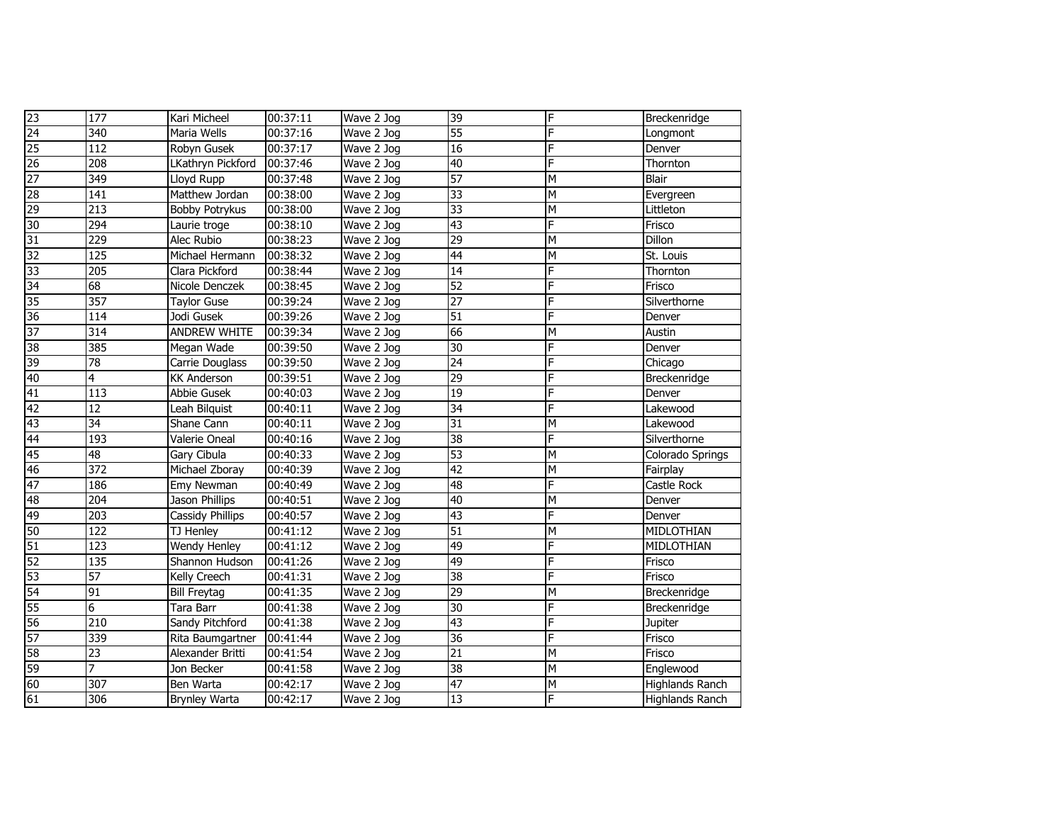| 23              | 177              | Kari Micheel          | 00:37:11 | Wave 2 Jog | 39              | F | Breckenridge     |
|-----------------|------------------|-----------------------|----------|------------|-----------------|---|------------------|
| 24              | 340              | Maria Wells           | 00:37:16 | Wave 2 Jog | 55              | F | Longmont         |
| 25              | 112              | Robyn Gusek           | 00:37:17 | Wave 2 Jog | 16              | F | Denver           |
| $\overline{26}$ | 208              | LKathryn Pickford     | 00:37:46 | Wave 2 Jog | 40              | F | Thornton         |
| 27              | 349              | Lloyd Rupp            | 00:37:48 | Wave 2 Jog | 57              | M | <b>Blair</b>     |
| 28              | 141              | Matthew Jordan        | 00:38:00 | Wave 2 Jog | 33              | M | Evergreen        |
| 29              | $\overline{213}$ | <b>Bobby Potrykus</b> | 00:38:00 | Wave 2 Jog | 33              | M | Littleton        |
| 30              | $\overline{294}$ | Laurie troge          | 00:38:10 | Wave 2 Jog | 43              | F | Frisco           |
| 31              | 229              | Alec Rubio            | 00:38:23 | Wave 2 Jog | 29              | Σ | Dillon           |
| 32              | 125              | Michael Hermann       | 00:38:32 | Wave 2 Jog | $\overline{44}$ | Σ | St. Louis        |
| 33              | 205              | Clara Pickford        | 00:38:44 | Wave 2 Jog | 14              | F | Thornton         |
| 34              | $\overline{68}$  | Nicole Denczek        | 00:38:45 | Wave 2 Jog | 52              | F | Frisco           |
| 35              | $\overline{357}$ | <b>Taylor Guse</b>    | 00:39:24 | Wave 2 Jog | 27              | F | Silverthorne     |
| 36              | 114              | Jodi Gusek            | 00:39:26 | Wave 2 Jog | 51              | F | Denver           |
| 37              | 314              | ANDREW WHITE          | 00:39:34 | Wave 2 Jog | 66              | M | Austin           |
| 96<br>CO        | 385              | Megan Wade            | 00:39:50 | Wave 2 Jog | 30              | F | Denver           |
| 39              | $\overline{78}$  | Carrie Douglass       | 00:39:50 | Wave 2 Jog | $\overline{24}$ | F | Chicago          |
| 40              | 4                | <b>KK Anderson</b>    | 00:39:51 | Wave 2 Jog | 29              | F | Breckenridge     |
| 41              | $\overline{113}$ | Abbie Gusek           | 00:40:03 | Wave 2 Jog | $\overline{19}$ | F | Denver           |
| 42              | $\overline{12}$  | Leah Bilquist         | 00:40:11 | Wave 2 Jog | 34              | F | Lakewood         |
| 43              | 34               | Shane Cann            | 00:40:11 | Wave 2 Jog | 31              | M | Lakewood         |
| 44              | 193              | Valerie Oneal         | 00:40:16 | Wave 2 Jog | 38              | F | Silverthorne     |
| 45              | 48               | Gary Cibula           | 00:40:33 | Wave 2 Jog | 53              | M | Colorado Springs |
| 46              | $\overline{372}$ | Michael Zboray        | 00:40:39 | Wave 2 Jog | 42              | M | Fairplay         |
| 47              | 186              | Emy Newman            | 00:40:49 | Wave 2 Jog | 48              | F | Castle Rock      |
| 48              | $\overline{204}$ | Jason Phillips        | 00:40:51 | Wave 2 Jog | 40              | M | Denver           |
| 49              | 203              | Cassidy Phillips      | 00:40:57 | Wave 2 Jog | 43              | F | Denver           |
| 50              | 122              | TJ Henley             | 00:41:12 | Wave 2 Jog | 51              | M | MIDLOTHIAN       |
| 51              | 123              | Wendy Henley          | 00:41:12 | Wave 2 Jog | 49              | F | MIDLOTHIAN       |
| 52              | 135              | Shannon Hudson        | 00:41:26 | Wave 2 Jog | 49              | F | Frisco           |
| 53              | $\overline{57}$  | Kelly Creech          | 00:41:31 | Wave 2 Jog | 38              | F | Frisco           |
| $\overline{54}$ | 91               | <b>Bill Freytag</b>   | 00:41:35 | Wave 2 Jog | 29              | M | Breckenridge     |
| $\overline{55}$ | 6                | <b>Tara Barr</b>      | 00:41:38 | Wave 2 Jog | 30              | F | Breckenridge     |
| 56              | 210              | Sandy Pitchford       | 00:41:38 | Wave 2 Jog | 43              | F | Jupiter          |
| 57              | 339              | Rita Baumgartner      | 00:41:44 | Wave 2 Jog | 36              | F | Frisco           |
| 58              | $\overline{23}$  | Alexander Britti      | 00:41:54 | Wave 2 Jog | $\overline{21}$ | M | Frisco           |
| 59              | $\overline{7}$   | Jon Becker            | 00:41:58 | Wave 2 Jog | 38              | M | Englewood        |
| 60              | 307              | Ben Warta             | 00:42:17 | Wave 2 Jog | 47              | Σ | Highlands Ranch  |
| 61              | 306              | <b>Brynley Warta</b>  | 00:42:17 | Wave 2 Jog | $\overline{13}$ | F | Highlands Ranch  |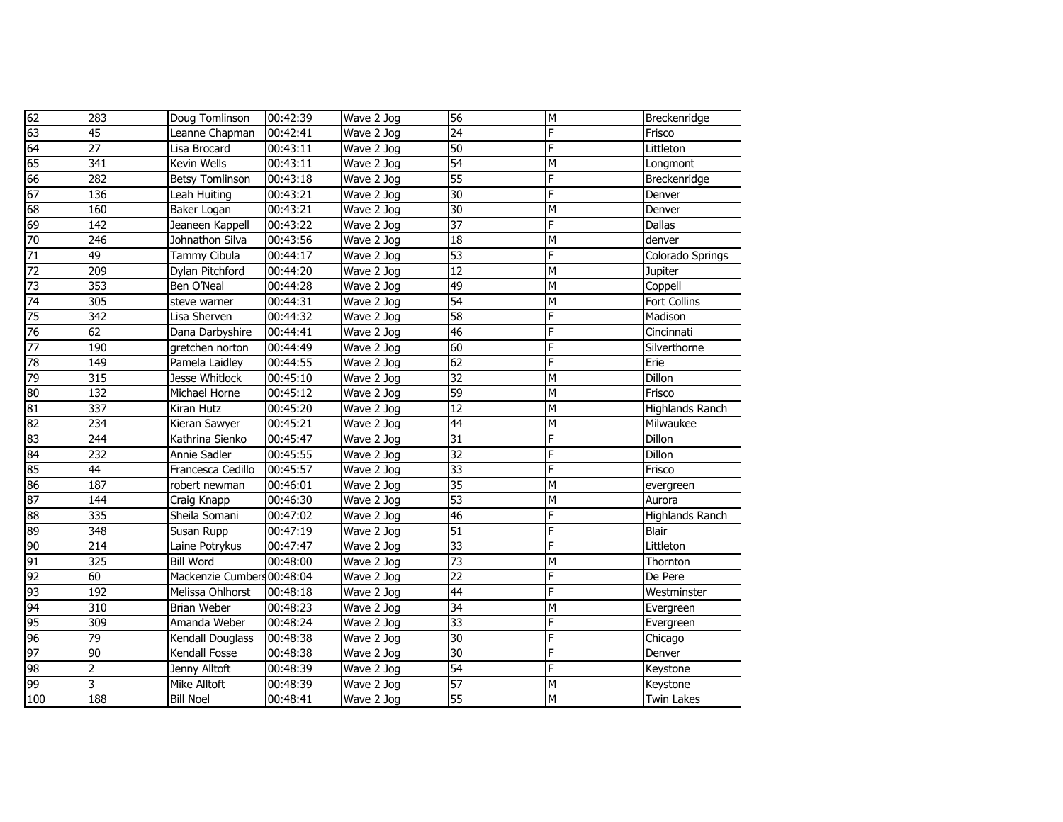| 62                     | 283                     | Doug Tomlinson             | 00:42:39 | Wave 2 Jog | 56              | M              | Breckenridge           |
|------------------------|-------------------------|----------------------------|----------|------------|-----------------|----------------|------------------------|
| 63                     | $\overline{45}$         | Leanne Chapman             | 00:42:41 | Wave 2 Jog | 24              | F              | Frisco                 |
| 64                     | $\overline{27}$         | Lisa Brocard               | 00:43:11 | Wave 2 Jog | 50              | F              | Littleton              |
| 65                     | 341                     | <b>Kevin Wells</b>         | 00:43:11 | Wave 2 Jog | 54              | M              | Longmont               |
| 66                     | 282                     | <b>Betsy Tomlinson</b>     | 00:43:18 | Wave 2 Jog | $\overline{55}$ | F              | Breckenridge           |
| 67                     | 136                     | Leah Huiting               | 00:43:21 | Wave 2 Jog | 30              | F              | Denver                 |
| 68                     | 160                     | Baker Logan                | 00:43:21 | Wave 2 Jog | 30              | M              | Denver                 |
| 69                     | 142                     | Jeaneen Kappell            | 00:43:22 | Wave 2 Jog | $\overline{37}$ | F              | <b>Dallas</b>          |
| 70                     | 246                     | Johnathon Silva            | 00:43:56 | Wave 2 Jog | $\overline{18}$ | M              | denver                 |
| 71                     | 49                      | Tammy Cibula               | 00:44:17 | Wave 2 Jog | 53              | F              | Colorado Springs       |
| 72                     | 209                     | Dylan Pitchford            | 00:44:20 | Wave 2 Jog | 12              | M              | Jupiter                |
| 73                     | 353                     | Ben O'Neal                 | 00:44:28 | Wave 2 Jog | 49              | $\overline{M}$ | Coppell                |
| 74                     | 305                     | steve warner               | 00:44:31 | Wave 2 Jog | 54              | M              | <b>Fort Collins</b>    |
| $\overline{75}$        | 342                     | Lisa Sherven               | 00:44:32 | Wave 2 Jog | $\overline{58}$ | F              | Madison                |
| 76                     | 62                      | Dana Darbyshire            | 00:44:41 | Wave 2 Jog | 46              | F              | Cincinnati             |
| 77                     | 190                     | gretchen norton            | 00:44:49 | Wave 2 Jog | 60              | F              | Silverthorne           |
| 78                     | 149                     | Pamela Laidley             | 00:44:55 | Wave 2 Jog | 62              | F              | Erie                   |
| 79                     | 315                     | Jesse Whitlock             | 00:45:10 | Wave 2 Jog | 32              | M              | <b>Dillon</b>          |
| 80                     | 132                     | Michael Horne              | 00:45:12 | Wave 2 Jog | 59              | M              | Frisco                 |
| 81                     | 337                     | Kiran Hutz                 | 00:45:20 | Wave 2 Jog | 12              | M              | <b>Highlands Ranch</b> |
| $\overline{\text{82}}$ | 234                     | Kieran Sawyer              | 00:45:21 | Wave 2 Jog | 44              | M              | Milwaukee              |
| 83                     | 244                     | Kathrina Sienko            | 00:45:47 | Wave 2 Jog | 31              | F              | Dillon                 |
| 84                     | 232                     | Annie Sadler               | 00:45:55 | Wave 2 Jog | 32              | F              | Dillon                 |
| 85                     | $\overline{44}$         | Francesca Cedillo          | 00:45:57 | Wave 2 Jog | 33              | F              | Frisco                 |
| 86                     | 187                     | robert newman              | 00:46:01 | Wave 2 Jog | $\overline{35}$ | M              | evergreen              |
| 87                     | 144                     | Craig Knapp                | 00:46:30 | Wave 2 Jog | 53              | M              | Aurora                 |
| 88                     | 335                     | Sheila Somani              | 00:47:02 | Wave 2 Jog | 46              | F              | <b>Highlands Ranch</b> |
| 89                     | 348                     | Susan Rupp                 | 00:47:19 | Wave 2 Jog | 51              | F              | <b>Blair</b>           |
| 90                     | 214                     | Laine Potrykus             | 00:47:47 | Wave 2 Jog | 33              | F              | Littleton              |
| 91                     | 325                     | <b>Bill Word</b>           | 00:48:00 | Wave 2 Jog | $\overline{73}$ | M              | Thornton               |
| 92                     | 60                      | Mackenzie Cumbers 00:48:04 |          | Wave 2 Jog | $\overline{22}$ | F              | De Pere                |
| 93                     | 192                     | Melissa Ohlhorst           | 00:48:18 | Wave 2 Jog | 44              | F              | Westminster            |
| 94                     | 310                     | <b>Brian Weber</b>         | 00:48:23 | Wave 2 Jog | 34              | M              | Evergreen              |
| 95                     | 309                     | Amanda Weber               | 00:48:24 | Wave 2 Jog | $\overline{33}$ | F              | Evergreen              |
| 96                     | 79                      | Kendall Douglass           | 00:48:38 | Wave 2 Jog | 30              | F              | Chicago                |
| 97                     | 90                      | Kendall Fosse              | 00:48:38 | Wave 2 Jog | 30              | F              | Denver                 |
| 98                     | $\overline{\mathbf{c}}$ | Jenny Alltoft              | 00:48:39 | Wave 2 Jog | 54              | F              | Keystone               |
| 99                     | 3                       | Mike Alltoft               | 00:48:39 | Wave 2 Jog | $\overline{57}$ | M              | Keystone               |
| 100                    | 188                     | <b>Bill Noel</b>           | 00:48:41 | Wave 2 Jog | $\overline{55}$ | M              | <b>Twin Lakes</b>      |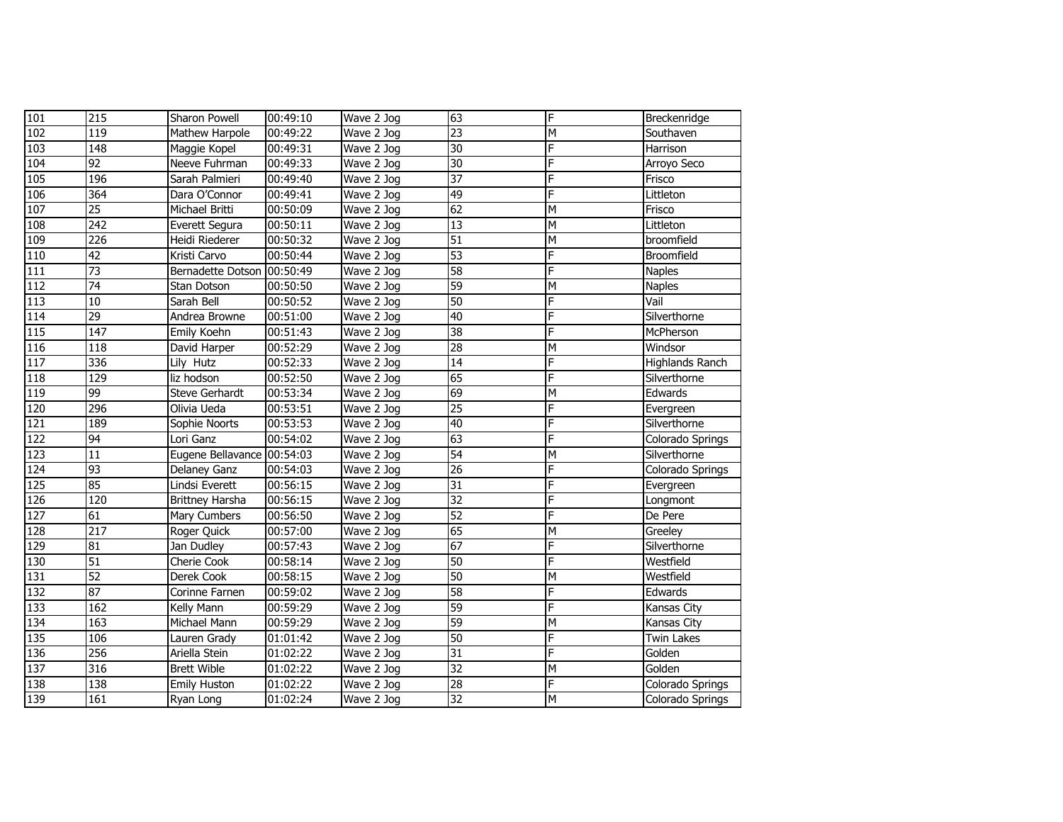| 101              | 215             | <b>Sharon Powell</b>       | 00:49:10 | Wave 2 Jog | 63              | F | Breckenridge           |
|------------------|-----------------|----------------------------|----------|------------|-----------------|---|------------------------|
| 102              | 119             | Mathew Harpole             | 00:49:22 | Wave 2 Jog | 23              | M | Southaven              |
| 103              | 148             | Maggie Kopel               | 00:49:31 | Wave 2 Jog | 30              | F | Harrison               |
| 104              | 92              | Neeve Fuhrman              | 00:49:33 | Wave 2 Jog | 30              | F | Arroyo Seco            |
| 105              | 196             | Sarah Palmieri             | 00:49:40 | Wave 2 Jog | 37              | F | Frisco                 |
| 106              | 364             | Dara O'Connor              | 00:49:41 | Wave 2 Jog | 49              | F | Littleton              |
| 107              | $\overline{25}$ | Michael Britti             | 00:50:09 | Wave 2 Jog | 62              | M | Frisco                 |
| 108              | 242             | Everett Segura             | 00:50:11 | Wave 2 Jog | 13              | M | Littleton              |
| 109              | 226             | Heidi Riederer             | 00:50:32 | Wave 2 Jog | 51              | M | broomfield             |
| 110              | 42              | Kristi Carvo               | 00:50:44 | Wave 2 Jog | 53              | F | Broomfield             |
| 111              | $\overline{73}$ | Bernadette Dotson 00:50:49 |          | Wave 2 Jog | 58              | F | <b>Naples</b>          |
| 112              | 74              | Stan Dotson                | 00:50:50 | Wave 2 Jog | 59              | M | <b>Naples</b>          |
| 113              | 10              | Sarah Bell                 | 00:50:52 | Wave 2 Jog | 50              | F | Vail                   |
| 114              | $\overline{29}$ | Andrea Browne              | 00:51:00 | Wave 2 Jog | 40              | F | Silverthorne           |
| 115              | 147             | Emily Koehn                | 00:51:43 | Wave 2 Jog | 38              | F | McPherson              |
| 116              | 118             | David Harper               | 00:52:29 | Wave 2 Jog | 28              | M | Windsor                |
| 117              | 336             | Lily Hutz                  | 00:52:33 | Wave 2 Jog | 14              | F | <b>Highlands Ranch</b> |
| 118              | 129             | liz hodson                 | 00:52:50 | Wave 2 Jog | 65              | F | Silverthorne           |
| $\overline{119}$ | 99              | Steve Gerhardt             | 00:53:34 | Wave 2 Jog | 69              | M | Edwards                |
| 120              | 296             | Olivia Ueda                | 00:53:51 | Wave 2 Jog | 25              | F | Evergreen              |
| $\overline{121}$ | 189             | Sophie Noorts              | 00:53:53 | Wave 2 Jog | 40              | F | Silverthorne           |
| $\overline{122}$ | $\overline{94}$ | Lori Ganz                  | 00:54:02 | Wave 2 Jog | 63              | F | Colorado Springs       |
| 123              | 11              | Eugene Bellavance 00:54:03 |          | Wave 2 Jog | 54              | M | Silverthorne           |
| 124              | 93              | Delaney Ganz               | 00:54:03 | Wave 2 Jog | $\overline{26}$ | F | Colorado Springs       |
| 125              | 85              | Lindsi Everett             | 00:56:15 | Wave 2 Jog | 31              | F | Evergreen              |
| 126              | 120             | <b>Brittney Harsha</b>     | 00:56:15 | Wave 2 Jog | 32              | F | Longmont               |
| 127              | 61              | Mary Cumbers               | 00:56:50 | Wave 2 Jog | 52              | F | De Pere                |
| 128              | 217             | Roger Quick                | 00:57:00 | Wave 2 Jog | 65              | M | Greeley                |
| $\overline{129}$ | 81              | Jan Dudley                 | 00:57:43 | Wave 2 Jog | 67              | F | Silverthorne           |
| 130              | 51              | Cherie Cook                | 00:58:14 | Wave 2 Jog | 50              | F | Westfield              |
| 131              | 52              | Derek Cook                 | 00:58:15 | Wave 2 Jog | 50              | M | Westfield              |
| $\overline{132}$ | 87              | Corinne Farnen             | 00:59:02 | Wave 2 Jog | 58              | F | Edwards                |
| 133              | 162             | Kelly Mann                 | 00:59:29 | Wave 2 Jog | 59              | F | Kansas City            |
| 134              | 163             | Michael Mann               | 00:59:29 | Wave 2 Jog | 59              | M | Kansas City            |
| 135              | 106             | Lauren Grady               | 01:01:42 | Wave 2 Jog | 50              | F | Twin Lakes             |
| $\overline{136}$ | 256             | Ariella Stein              | 01:02:22 | Wave 2 Jog | 31              | F | Golden                 |
| 137              | 316             | <b>Brett Wible</b>         | 01:02:22 | Wave 2 Jog | 32              | M | Golden                 |
| 138              | 138             | <b>Emily Huston</b>        | 01:02:22 | Wave 2 Jog | 28              | F | Colorado Springs       |
| 139              | 161             | Ryan Long                  | 01:02:24 | Wave 2 Jog | 32              | M | Colorado Springs       |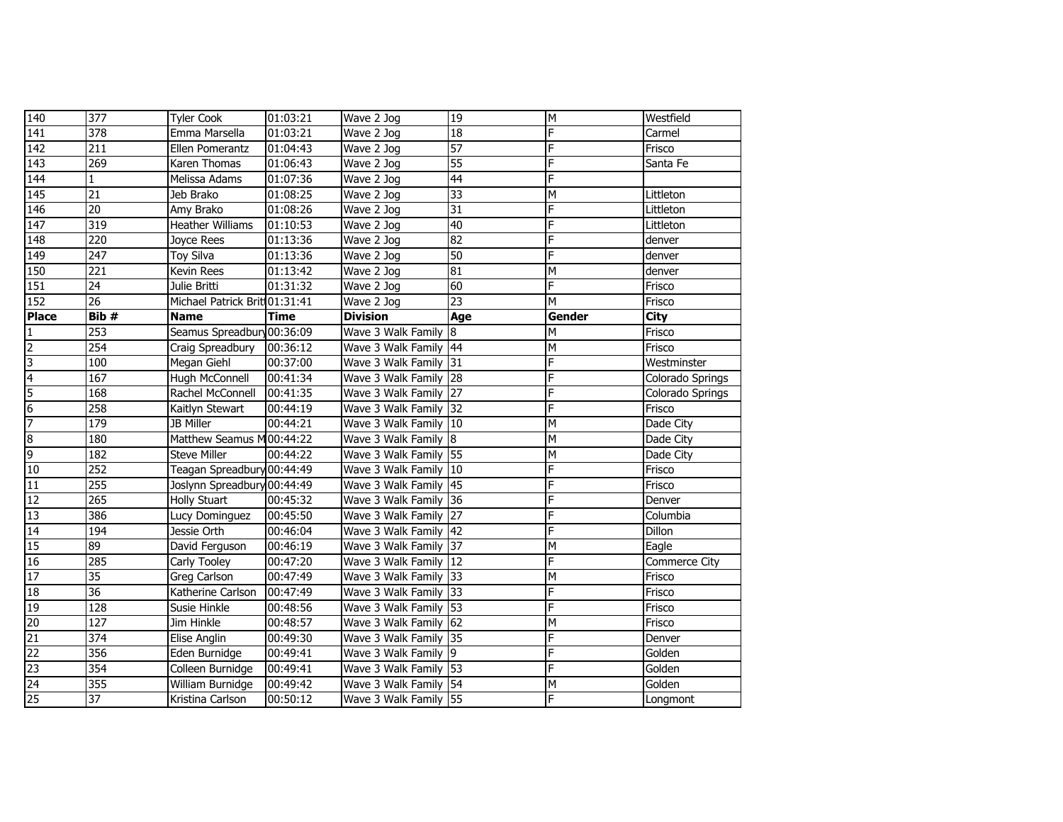| 140              | 377              | <b>Tyler Cook</b>             | 01:03:21    | Wave 2 Jog            | 19              | M      | Westfield        |
|------------------|------------------|-------------------------------|-------------|-----------------------|-----------------|--------|------------------|
| 141              | $\overline{378}$ | Emma Marsella                 | 01:03:21    | Wave 2 Jog            | $\overline{18}$ | F      | Carmel           |
| 142              | 211              | Ellen Pomerantz               | 01:04:43    | Wave 2 Jog            | 57              | F      | Frisco           |
| 143              | 269              | Karen Thomas                  | 01:06:43    | Wave 2 Jog            | $\overline{55}$ | F      | Santa Fe         |
| 144              | $\mathbf{1}$     | Melissa Adams                 | 01:07:36    | Wave 2 Jog            | 44              | F      |                  |
| 145              | 21               | Jeb Brako                     | 01:08:25    | Wave 2 Jog            | $\overline{33}$ | M      | Littleton        |
| 146              | 20               | Amy Brako                     | 01:08:26    | Wave 2 Jog            | $\overline{31}$ | F      | Littleton        |
| $\overline{147}$ | 319              | <b>Heather Williams</b>       | 01:10:53    | Wave 2 Jog            | 40              | F      | Littleton        |
| 148              | 220              | Joyce Rees                    | 01:13:36    | Wave 2 Jog            | 82              | F      | denver           |
| 149              | $\overline{247}$ | Toy Silva                     | 01:13:36    | Wave 2 Jog            | $\overline{50}$ | F      | denver           |
| 150              | 221              | Kevin Rees                    | 01:13:42    | Wave 2 Jog            | 81              | M      | denver           |
| 151              | $\overline{24}$  | Julie Britti                  | 01:31:32    | Wave 2 Jog            | 60              | F      | Frisco           |
| 152              | $\overline{26}$  | Michael Patrick Brit 01:31:41 |             | Wave 2 Jog            | $\overline{23}$ | M      | Frisco           |
| <b>Place</b>     | Bib #            | <b>Name</b>                   | <b>Time</b> | <b>Division</b>       | Age             | Gender | City             |
| $\mathbf{1}$     | 253              | Seamus Spreadbury 00:36:09    |             | Wave 3 Walk Family    | $\overline{8}$  | M      | Frisco           |
| $\overline{2}$   | 254              | Craig Spreadbury              | 00:36:12    | Wave 3 Walk Family 44 |                 | M      | Frisco           |
| 3                | 100              | Megan Giehl                   | 00:37:00    | Wave 3 Walk Family 31 |                 | F      | Westminster      |
| 4                | 167              | Hugh McConnell                | 00:41:34    | Wave 3 Walk Family 28 |                 | F      | Colorado Springs |
| 5                | 168              | Rachel McConnell              | 00:41:35    | Wave 3 Walk Family 27 |                 | F      | Colorado Springs |
| $6\overline{6}$  | 258              | Kaitlyn Stewart               | 00:44:19    | Wave 3 Walk Family 32 |                 | F      | Frisco           |
| 7                | $\overline{179}$ | JB Miller                     | 00:44:21    | Wave 3 Walk Family 10 |                 | M      | Dade City        |
| $\overline{8}$   | 180              | Matthew Seamus M00:44:22      |             | Wave 3 Walk Family 8  |                 | M      | Dade City        |
| 9                | 182              | <b>Steve Miller</b>           | 00:44:22    | Wave 3 Walk Family 55 |                 | M      | Dade City        |
| 10               | 252              | Teagan Spreadbury 00:44:49    |             | Wave 3 Walk Family 10 |                 | F      | Frisco           |
| 11               | 255              | Joslynn Spreadbury 00:44:49   |             | Wave 3 Walk Family 45 |                 | F      | Frisco           |
| 12               | 265              | <b>Holly Stuart</b>           | 00:45:32    | Wave 3 Walk Family 36 |                 | F      | Denver           |
| 13               | 386              | Lucy Dominguez                | 00:45:50    | Wave 3 Walk Family 27 |                 | F      | Columbia         |
| 14               | 194              | Jessie Orth                   | 00:46:04    | Wave 3 Walk Family 42 |                 | F      | Dillon           |
| 15               | 89               | David Ferguson                | 00:46:19    | Wave 3 Walk Family 37 |                 | M      | Eagle            |
| 16               | 285              | Carly Tooley                  | 00:47:20    | Wave 3 Walk Family 12 |                 | F      | Commerce City    |
| 17               | $\overline{35}$  | Greg Carlson                  | 00:47:49    | Wave 3 Walk Family 33 |                 | M      | Frisco           |
| 18               | 36               | Katherine Carlson             | 00:47:49    | Wave 3 Walk Family 33 |                 | F      | Frisco           |
| 19               | 128              | Susie Hinkle                  | 00:48:56    | Wave 3 Walk Family 53 |                 | F      | Frisco           |
| 20               | $\overline{127}$ | Jim Hinkle                    | 00:48:57    | Wave 3 Walk Family 62 |                 | M      | Frisco           |
| 21               | 374              | Elise Anglin                  | 00:49:30    | Wave 3 Walk Family 35 |                 | F      | Denver           |
| 22               | 356              | Eden Burnidge                 | 00:49:41    | Wave 3 Walk Family 9  |                 | F      | Golden           |
| 23               | 354              | Colleen Burnidge              | 00:49:41    | Wave 3 Walk Family 53 |                 | F      | Golden           |
| 24               | 355              | William Burnidge              | 00:49:42    | Wave 3 Walk Family 54 |                 | M      | Golden           |
| 25               | 37               | Kristina Carlson              | 00:50:12    | Wave 3 Walk Family 55 |                 | F      | Longmont         |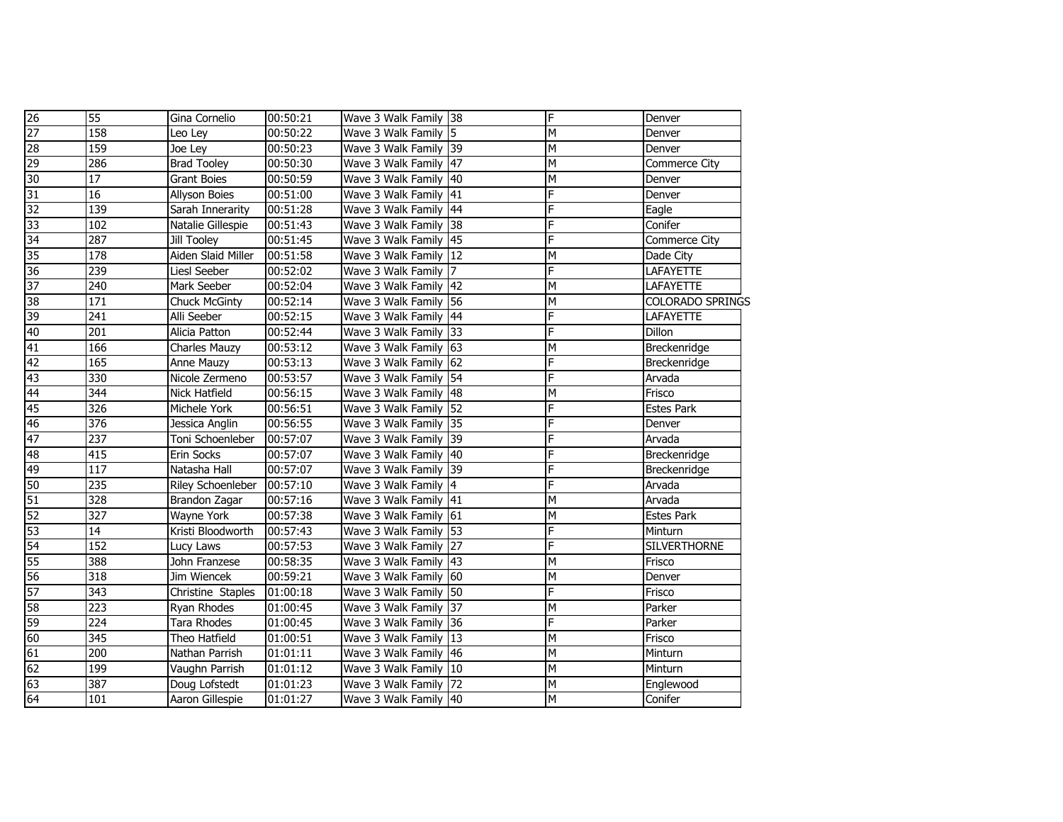| $\overline{26}$ | 55               | Gina Cornelio            | 00:50:21 | Wave 3 Walk Family 38 | F | Denver              |
|-----------------|------------------|--------------------------|----------|-----------------------|---|---------------------|
| 27              | 158              | Leo Ley                  | 00:50:22 | Wave 3 Walk Family 5  | м | Denver              |
| 28              | 159              | Joe Ley                  | 00:50:23 | Wave 3 Walk Family 39 | M | Denver              |
| 29              | 286              | <b>Brad Tooley</b>       | 00:50:30 | Wave 3 Walk Family 47 | M | Commerce City       |
| 30              | 17               | <b>Grant Boies</b>       | 00:50:59 | Wave 3 Walk Family 40 | M | Denver              |
| $\overline{31}$ | 16               | Allyson Boies            | 00:51:00 | Wave 3 Walk Family 41 | Ë | Denver              |
| 32              | 139              | Sarah Innerarity         | 00:51:28 | Wave 3 Walk Family 44 | F | Eagle               |
| 33              | 102              | Natalie Gillespie        | 00:51:43 | Wave 3 Walk Family 38 | F | Conifer             |
| 34              | 287              | Jill Tooley              | 00:51:45 | Wave 3 Walk Family 45 | F | Commerce City       |
| 35              | 178              | Aiden Slaid Miller       | 00:51:58 | Wave 3 Walk Family 12 | М | Dade City           |
| 36              | 239              | Liesl Seeber             | 00:52:02 | Wave 3 Walk Family 7  | F | LAFAYETTE           |
| 37              | 240              | Mark Seeber              | 00:52:04 | Wave 3 Walk Family 42 | М | LAFAYETTE           |
| 38              | 171              | <b>Chuck McGinty</b>     | 00:52:14 | Wave 3 Walk Family 56 | М | COLORADO SPRINGS    |
| 39              | 241              | Alli Seeber              | 00:52:15 | Wave 3 Walk Family 44 | F | LAFAYETTE           |
| 40              | 201              | Alicia Patton            | 00:52:44 | Wave 3 Walk Family 33 | F | Dillon              |
| 41              | 166              | Charles Mauzy            | 00:53:12 | Wave 3 Walk Family 63 | м | Breckenridge        |
| 42              | 165              | Anne Mauzy               | 00:53:13 | Wave 3 Walk Family 62 | F | Breckenridge        |
| 43              | 330              | Nicole Zermeno           | 00:53:57 | Wave 3 Walk Family 54 | Ë | Arvada              |
| 44              | 344              | Nick Hatfield            | 00:56:15 | Wave 3 Walk Family 48 | м | Frisco              |
| 45              | 326              | Michele York             | 00:56:51 | Wave 3 Walk Family 52 | F | Estes Park          |
| 46              | 376              | Jessica Anglin           | 00:56:55 | Wave 3 Walk Family 35 | F | Denver              |
| 47              | 237              | Toni Schoenleber         | 00:57:07 | Wave 3 Walk Family 39 | F | Arvada              |
| 48              | 415              | Erin Socks               | 00:57:07 | Wave 3 Walk Family 40 | F | Breckenridge        |
| 49              | 117              | Natasha Hall             | 00:57:07 | Wave 3 Walk Family 39 | Ë | Breckenridge        |
| 50              | 235              | <b>Riley Schoenleber</b> | 00:57:10 | Wave 3 Walk Family 4  | F | Arvada              |
| 51              | 328              | Brandon Zagar            | 00:57:16 | Wave 3 Walk Family 41 | м | Arvada              |
| 52              | 327              | Wayne York               | 00:57:38 | Wave 3 Walk Family 61 | М | Estes Park          |
| 53              | 14               | Kristi Bloodworth        | 00:57:43 | Wave 3 Walk Family 53 | F | Minturn             |
| 54              | 152              | Lucy Laws                | 00:57:53 | Wave 3 Walk Family 27 | F | <b>SILVERTHORNE</b> |
| 55              | 388              | John Franzese            | 00:58:35 | Wave 3 Walk Family 43 | М | Frisco              |
| 56              | 318              | Jim Wiencek              | 00:59:21 | Wave 3 Walk Family 60 | м | Denver              |
| 57              | 343              | Christine Staples        | 01:00:18 | Wave 3 Walk Family 50 | F | Frisco              |
| 58              | 223              | Ryan Rhodes              | 01:00:45 | Wave 3 Walk Family 37 | М | Parker              |
| 59              | 224              | Tara Rhodes              | 01:00:45 | Wave 3 Walk Family 36 | F | Parker              |
| 60              | $\overline{345}$ | Theo Hatfield            | 01:00:51 | Wave 3 Walk Family 13 | M | Frisco              |
| 61              | 200              | Nathan Parrish           | 01:01:11 | Wave 3 Walk Family 46 | М | Minturn             |
| 62              | 199              | Vaughn Parrish           | 01:01:12 | Wave 3 Walk Family 10 | М | Minturn             |
| 63              | 387              | Doug Lofstedt            | 01:01:23 | Wave 3 Walk Family 72 | М | Englewood           |
| 64              | 101              | Aaron Gillespie          | 01:01:27 | Wave 3 Walk Family 40 | M | Conifer             |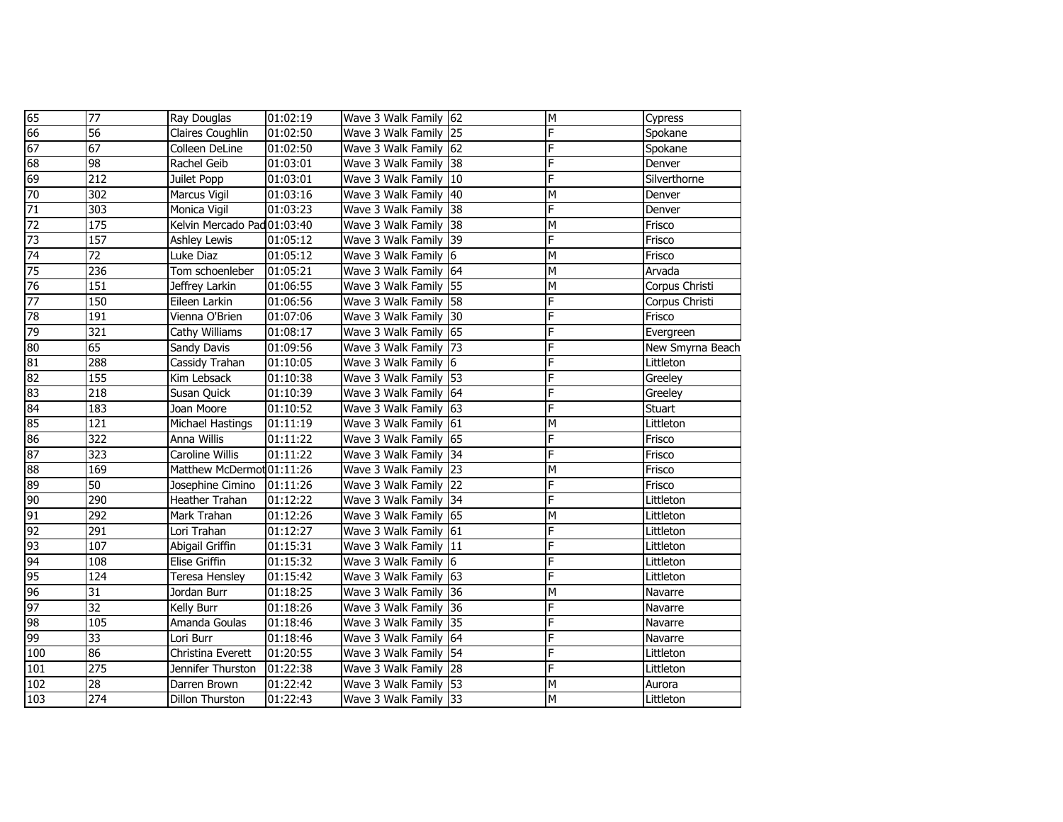| 65              | 77               | <b>Ray Douglas</b>          | 01:02:19 | Wave 3 Walk Family 62 | M                       | Cypress          |
|-----------------|------------------|-----------------------------|----------|-----------------------|-------------------------|------------------|
| 66              | $\overline{56}$  | Claires Coughlin            | 01:02:50 | Wave 3 Walk Family 25 | F                       | Spokane          |
| 67              | 67               | Colleen DeLine              | 01:02:50 | Wave 3 Walk Family 62 | F                       | Spokane          |
| 68              | 98               | Rachel Geib                 | 01:03:01 | Wave 3 Walk Family 38 | F                       | Denver           |
| 69              | 212              | Juilet Popp                 | 01:03:01 | Wave 3 Walk Family 10 | F                       | Silverthorne     |
| 70              | 302              | Marcus Vigil                | 01:03:16 | Wave 3 Walk Family 40 | M                       | Denver           |
| 71              | 303              | Monica Vigil                | 01:03:23 | Wave 3 Walk Family 38 | F                       | Denver           |
| $\overline{72}$ | 175              | Kelvin Mercado Pad 01:03:40 |          | Wave 3 Walk Family 38 | M                       | Frisco           |
| 73              | 157              | Ashley Lewis                | 01:05:12 | Wave 3 Walk Family 39 | F                       | Frisco           |
| 74              | $\overline{72}$  | Luke Diaz                   | 01:05:12 | Wave 3 Walk Family 6  | M                       | Frisco           |
| 75              | 236              | Tom schoenleber             | 01:05:21 | Wave 3 Walk Family 64 | M                       | Arvada           |
| 76              | 151              | Jeffrey Larkin              | 01:06:55 | Wave 3 Walk Family 55 | $\overline{\mathsf{M}}$ | Corpus Christi   |
| 77              | 150              | Eileen Larkin               | 01:06:56 | Wave 3 Walk Family 58 | F                       | Corpus Christi   |
| 78              | 191              | Vienna O'Brien              | 01:07:06 | Wave 3 Walk Family 30 | F                       | Frisco           |
| 79              | 321              | Cathy Williams              | 01:08:17 | Wave 3 Walk Family 65 | F                       | Evergreen        |
| 80              | 65               | Sandy Davis                 | 01:09:56 | Wave 3 Walk Family 73 | F                       | New Smyrna Beach |
| 81              | 288              | Cassidy Trahan              | 01:10:05 | Wave 3 Walk Family 6  | F                       | Littleton        |
| 82              | 155              | Kim Lebsack                 | 01:10:38 | Wave 3 Walk Family 53 | F                       | Greeley          |
| 83              | $\overline{218}$ | Susan Quick                 | 01:10:39 | Wave 3 Walk Family 64 | F                       | Greeley          |
| 84              | 183              | Joan Moore                  | 01:10:52 | Wave 3 Walk Family 63 | F                       | Stuart           |
| 85              | 121              | Michael Hastings            | 01:11:19 | Wave 3 Walk Family 61 | М                       | Littleton        |
| 86              | 322              | Anna Willis                 | 01:11:22 | Wave 3 Walk Family 65 | F                       | Frisco           |
| 87              | 323              | <b>Caroline Willis</b>      | 01:11:22 | Wave 3 Walk Family 34 | F                       | Frisco           |
| $\overline{88}$ | 169              | Matthew McDermot 01:11:26   |          | Wave 3 Walk Family 23 | M                       | Frisco           |
| 89              | $\overline{50}$  | Josephine Cimino            | 01:11:26 | Wave 3 Walk Family 22 | F                       | Frisco           |
| 90              | 290              | Heather Trahan              | 01:12:22 | Wave 3 Walk Family 34 | F                       | Littleton        |
| 91              | 292              | Mark Trahan                 | 01:12:26 | Wave 3 Walk Family 65 | M                       | Littleton        |
| 92              | 291              | Lori Trahan                 | 01:12:27 | Wave 3 Walk Family 61 | F                       | Littleton        |
| 93              | 107              | Abigail Griffin             | 01:15:31 | Wave 3 Walk Family 11 | F                       | Littleton        |
| 94              | 108              | <b>Elise Griffin</b>        | 01:15:32 | Wave 3 Walk Family 6  | F                       | Littleton        |
| 95              | 124              | Teresa Hensley              | 01:15:42 | Wave 3 Walk Family 63 | F                       | Littleton        |
| 96              | 31               | Jordan Burr                 | 01:18:25 | Wave 3 Walk Family 36 | M                       | Navarre          |
| 97              | $\overline{32}$  | Kelly Burr                  | 01:18:26 | Wave 3 Walk Family 36 | F                       | Navarre          |
| 98              | 105              | Amanda Goulas               | 01:18:46 | Wave 3 Walk Family 35 | F                       | Navarre          |
| 99              | $\overline{33}$  | Lori Burr                   | 01:18:46 | Wave 3 Walk Family 64 | F                       | Navarre          |
| 100             | 86               | Christina Everett           | 01:20:55 | Wave 3 Walk Family 54 | F                       | Littleton        |
| 101             | 275              | Jennifer Thurston           | 01:22:38 | Wave 3 Walk Family 28 | F                       | Littleton        |
| 102             | $\overline{28}$  | Darren Brown                | 01:22:42 | Wave 3 Walk Family 53 | М                       | Aurora           |
| 103             | 274              | Dillon Thurston             | 01:22:43 | Wave 3 Walk Family 33 | M                       | Littleton        |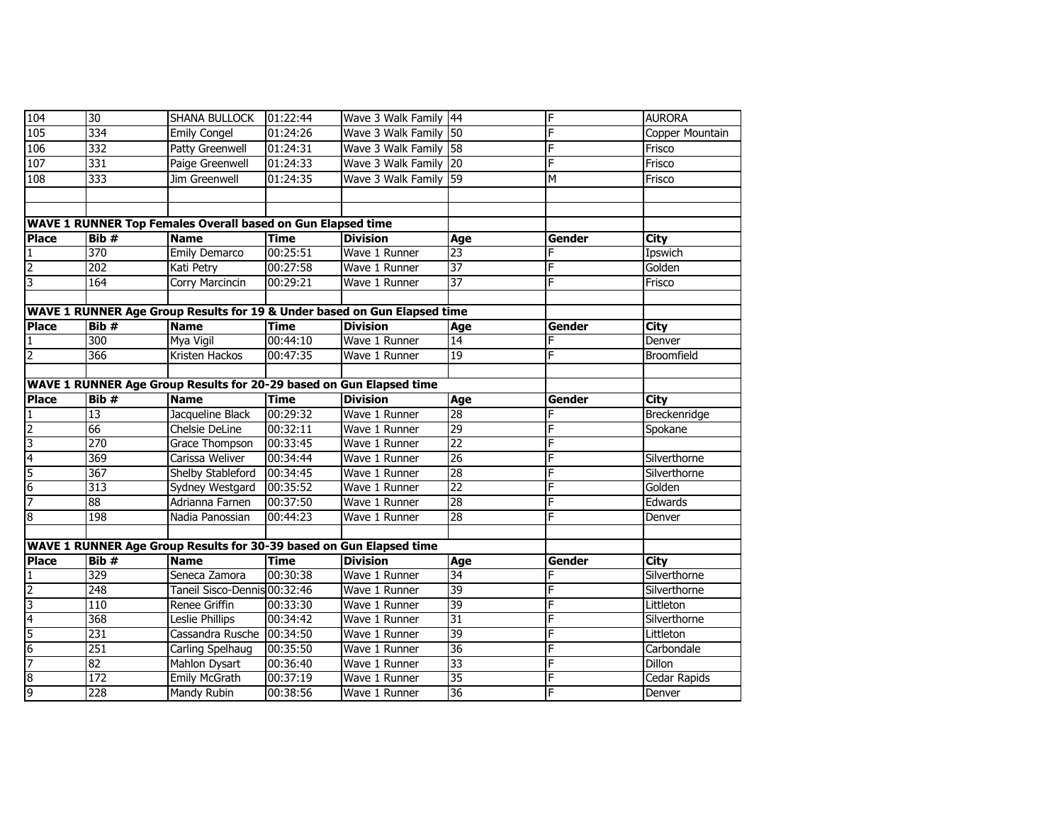| 104             | 30               | <b>SHANA BULLOCK</b>                                                     | 01:22:44    | Wave 3 Walk Family 44 |                 | F      | <b>AURORA</b>   |
|-----------------|------------------|--------------------------------------------------------------------------|-------------|-----------------------|-----------------|--------|-----------------|
| 105             | 334              | <b>Emily Congel</b>                                                      | 01:24:26    | Wave 3 Walk Family 50 |                 | F      | Copper Mountain |
| 106             | 332              | <b>Patty Greenwell</b>                                                   | 01:24:31    | Wave 3 Walk Family 58 |                 | F      | Frisco          |
| 107             | 331              | Paige Greenwell                                                          | 01:24:33    | Wave 3 Walk Family 20 |                 | F      | Frisco          |
| 108             | 333              | Jim Greenwell                                                            | 01:24:35    | Wave 3 Walk Family 59 |                 | M      | Frisco          |
|                 |                  |                                                                          |             |                       |                 |        |                 |
|                 |                  |                                                                          |             |                       |                 |        |                 |
|                 |                  | WAVE 1 RUNNER Top Females Overall based on Gun Elapsed time              |             |                       |                 |        |                 |
| <b>Place</b>    | Bib#             | <b>Name</b>                                                              | <b>Time</b> | <b>Division</b>       | Age             | Gender | <b>City</b>     |
| 1               | 370              | <b>Emily Demarco</b>                                                     | 00:25:51    | Wave 1 Runner         | $\overline{23}$ |        | Ipswich         |
| $\overline{2}$  | 202              | Kati Petry                                                               | 00:27:58    | Wave 1 Runner         | 37              | F      | Golden          |
| 3               | 164              | <b>Corry Marcincin</b>                                                   | 00:29:21    | Wave 1 Runner         | 37              | F      | Frisco          |
|                 |                  |                                                                          |             |                       |                 |        |                 |
|                 |                  | WAVE 1 RUNNER Age Group Results for 19 & Under based on Gun Elapsed time |             |                       |                 |        |                 |
| <b>Place</b>    | Bib#             | <b>Name</b>                                                              | <b>Time</b> | <b>Division</b>       | Age             | Gender | <b>City</b>     |
| $\mathbf{1}$    | 300              | Mya Vigil                                                                | 00:44:10    | Wave 1 Runner         | 14              | F      | Denver          |
| $\overline{2}$  | 366              | Kristen Hackos                                                           | 00:47:35    | Wave 1 Runner         | 19              | F      | Broomfield      |
|                 |                  |                                                                          |             |                       |                 |        |                 |
|                 |                  | WAVE 1 RUNNER Age Group Results for 20-29 based on Gun Elapsed time      |             |                       |                 |        |                 |
| <b>Place</b>    | Bib#             | <b>Name</b>                                                              | <b>Time</b> | <b>Division</b>       | Age             | Gender | <b>City</b>     |
| 1               | $\overline{13}$  | Jacqueline Black                                                         | 00:29:32    | Wave 1 Runner         | 28              | F      | Breckenridge    |
| $\overline{2}$  | 66               | Chelsie DeLine                                                           | 00:32:11    | Wave 1 Runner         | 29              | F      | Spokane         |
| 3               | $\overline{270}$ | Grace Thompson                                                           | 00:33:45    | Wave 1 Runner         | 22              | F      |                 |
| $\overline{4}$  | 369              | Carissa Weliver                                                          | 00:34:44    | Wave 1 Runner         | $\overline{26}$ | F      | Silverthorne    |
| $\overline{5}$  | 367              | <b>Shelby Stableford</b>                                                 | 00:34:45    | Wave 1 Runner         | 28              | E      | Silverthorne    |
| $6\overline{6}$ | 313              | Sydney Westgard                                                          | 00:35:52    | Wave 1 Runner         | 22              | F      | Golden          |
| 7               | 88               | Adrianna Farnen                                                          | 00:37:50    | Wave 1 Runner         | 28              | F      | Edwards         |
| 8               | 198              | Nadia Panossian                                                          | 00:44:23    | Wave 1 Runner         | $\overline{28}$ | F      | Denver          |
|                 |                  |                                                                          |             |                       |                 |        |                 |
|                 |                  | WAVE 1 RUNNER Age Group Results for 30-39 based on Gun Elapsed time      |             |                       |                 |        |                 |
| <b>Place</b>    | Bib#             | <b>Name</b>                                                              | <b>Time</b> | <b>Division</b>       | Age             | Gender | <b>City</b>     |
| 1               | 329              | Seneca Zamora                                                            | 00:30:38    | Wave 1 Runner         | 34              | F      | Silverthorne    |
| $\overline{2}$  | 248              | Taneil Sisco-Dennis 00:32:46                                             |             | Wave 1 Runner         | 39              | F      | Silverthorne    |
| 3               | 110              | Renee Griffin                                                            | 00:33:30    | Wave 1 Runner         | 39              | F      | Littleton       |
| $\overline{4}$  | 368              | Leslie Phillips                                                          | 00:34:42    | Wave 1 Runner         | 31              | F      | Silverthorne    |
| 5               | 231              | Cassandra Rusche 00:34:50                                                |             | Wave 1 Runner         | 39              | E      | Littleton       |
| 6               | 251              | Carling Spelhaug                                                         | 00:35:50    | Wave 1 Runner         | $\overline{36}$ | F      | Carbondale      |
| 7               | 82               | <b>Mahlon Dysart</b>                                                     | 00:36:40    | Wave 1 Runner         | 33              | F      | Dillon          |
| 8               | $\overline{172}$ | <b>Emily McGrath</b>                                                     | 00:37:19    | Wave 1 Runner         | $\overline{35}$ | F      | Cedar Rapids    |
| 9               | 228              | Mandy Rubin                                                              | 00:38:56    | Wave 1 Runner         | 36              | F      | Denver          |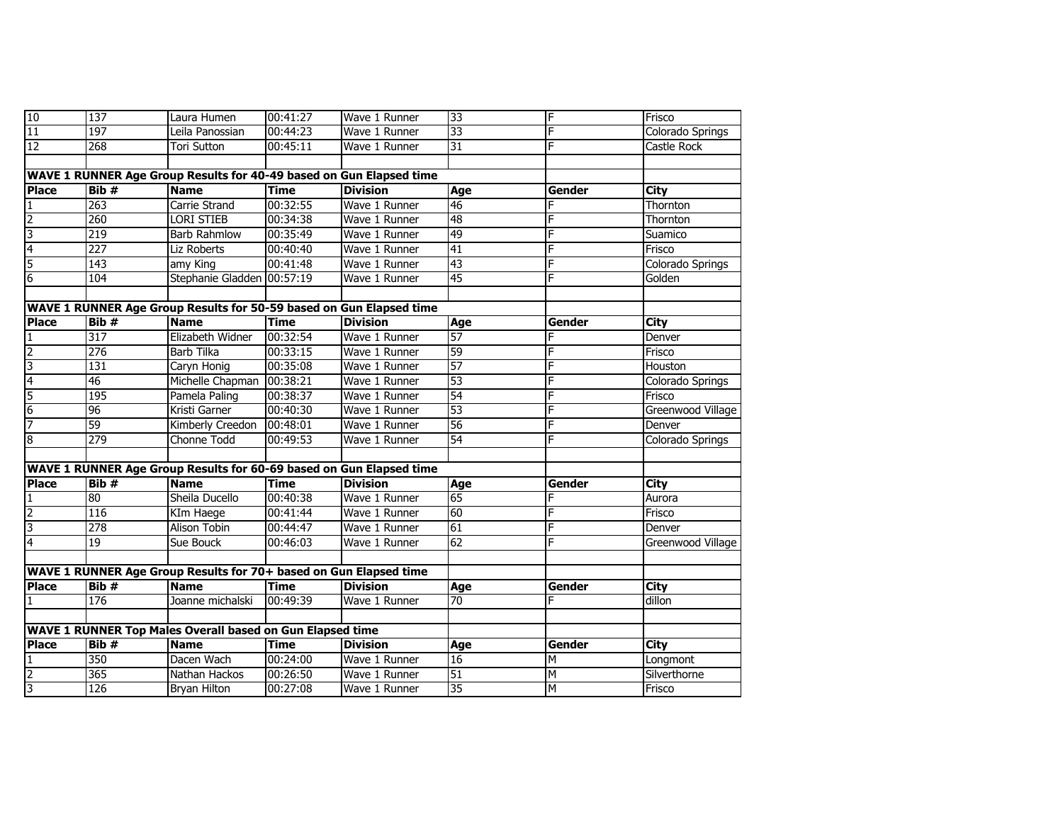| 10             | 137              | Laura Humen                                                         | 00:41:27    | Wave 1 Runner   | 33              | F             | Frisco            |
|----------------|------------------|---------------------------------------------------------------------|-------------|-----------------|-----------------|---------------|-------------------|
| 11             | 197              | Leila Panossian                                                     | 00:44:23    | Wave 1 Runner   | 33              | F             | Colorado Springs  |
| 12             | 268              | Tori Sutton                                                         | 00:45:11    | Wave 1 Runner   | 31              | F             | Castle Rock       |
|                |                  |                                                                     |             |                 |                 |               |                   |
|                |                  | WAVE 1 RUNNER Age Group Results for 40-49 based on Gun Elapsed time |             |                 |                 |               |                   |
| <b>Place</b>   | Bib#             | <b>Name</b>                                                         | <b>Time</b> | <b>Division</b> | Age             | Gender        | City              |
| 1              | 263              | Carrie Strand                                                       | 00:32:55    | Wave 1 Runner   | $\overline{46}$ | F             | Thornton          |
| $\overline{2}$ | 260              | <b>LORI STIEB</b>                                                   | 00:34:38    | Wave 1 Runner   | 48              | F             | Thornton          |
| 3              | 219              | <b>Barb Rahmlow</b>                                                 | 00:35:49    | Wave 1 Runner   | 49              | F             | Suamico           |
| $\overline{4}$ | 227              | Liz Roberts                                                         | 00:40:40    | Wave 1 Runner   | 41              | F             | Frisco            |
| 5              | $\overline{143}$ | amy King                                                            | 00:41:48    | Wave 1 Runner   | 43              | F             | Colorado Springs  |
| 6              | 104              | Stephanie Gladden 00:57:19                                          |             | Wave 1 Runner   | $\overline{45}$ | F             | Golden            |
|                |                  |                                                                     |             |                 |                 |               |                   |
|                |                  | WAVE 1 RUNNER Age Group Results for 50-59 based on Gun Elapsed time |             |                 |                 |               |                   |
| <b>Place</b>   | Bib#             | <b>Name</b>                                                         | <b>Time</b> | <b>Division</b> | Age             | Gender        | City              |
| 1              | 317              | Elizabeth Widner                                                    | 00:32:54    | Wave 1 Runner   | $\overline{57}$ | F             | Denver            |
| $\overline{2}$ | 276              | <b>Barb Tilka</b>                                                   | 00:33:15    | Wave 1 Runner   | 59              |               | Frisco            |
| 3              | 131              | Caryn Honig                                                         | 00:35:08    | Wave 1 Runner   | 57              | F             | Houston           |
| 4              | 46               | Michelle Chapman 00:38:21                                           |             | Wave 1 Runner   | 53              | F             | Colorado Springs  |
| 5              | 195              | Pamela Paling                                                       | 00:38:37    | Wave 1 Runner   | 54              |               | Frisco            |
| $\overline{6}$ | 96               | Kristi Garner                                                       | 00:40:30    | Wave 1 Runner   | 53              |               | Greenwood Village |
| 7              | 59               | Kimberly Creedon                                                    | 00:48:01    | Wave 1 Runner   | $\overline{56}$ | F             | Denver            |
| 8              | 279              | Chonne Todd                                                         | 00:49:53    | Wave 1 Runner   | 54              | F             | Colorado Springs  |
|                |                  |                                                                     |             |                 |                 |               |                   |
|                |                  | WAVE 1 RUNNER Age Group Results for 60-69 based on Gun Elapsed time |             |                 |                 |               |                   |
| <b>Place</b>   | Bib #            | <b>Name</b>                                                         | <b>Time</b> | <b>Division</b> | Age             | Gender        | City              |
|                | 80               | Sheila Ducello                                                      | 00:40:38    | Wave 1 Runner   | 65              |               | Aurora            |
| $\overline{2}$ | 116              | KIm Haege                                                           | 00:41:44    | Wave 1 Runner   | 60              |               | Frisco            |
| 3              | $\overline{278}$ | Alison Tobin                                                        | 00:44:47    | Wave 1 Runner   | 61              | F             | Denver            |
| $\overline{4}$ | $\overline{19}$  | Sue Bouck                                                           | 00:46:03    | Wave 1 Runner   | 62              | F             | Greenwood Village |
|                |                  |                                                                     |             |                 |                 |               |                   |
|                |                  | WAVE 1 RUNNER Age Group Results for 70+ based on Gun Elapsed time   |             |                 |                 |               |                   |
| <b>Place</b>   | Bib #            | <b>Name</b>                                                         | <b>Time</b> | <b>Division</b> | Age             | Gender        | <b>City</b>       |
|                | 176              | Joanne michalski                                                    | 00:49:39    | Wave 1 Runner   | 70              | F             | dillon            |
|                |                  |                                                                     |             |                 |                 |               |                   |
|                |                  | WAVE 1 RUNNER Top Males Overall based on Gun Elapsed time           |             |                 |                 |               |                   |
| <b>Place</b>   | Bib #            | <b>Name</b>                                                         | Time        | <b>Division</b> | Age             | <b>Gender</b> | City              |
| 1              | 350              | Dacen Wach                                                          | 00:24:00    | Wave 1 Runner   | 16              | Iм            | Longmont          |
| $\overline{2}$ | 365              | Nathan Hackos                                                       | 00:26:50    | Wave 1 Runner   | $\overline{51}$ | M             | Silverthorne      |
| 3              | 126              | <b>Bryan Hilton</b>                                                 | 00:27:08    | Wave 1 Runner   | 35              | M             | Frisco            |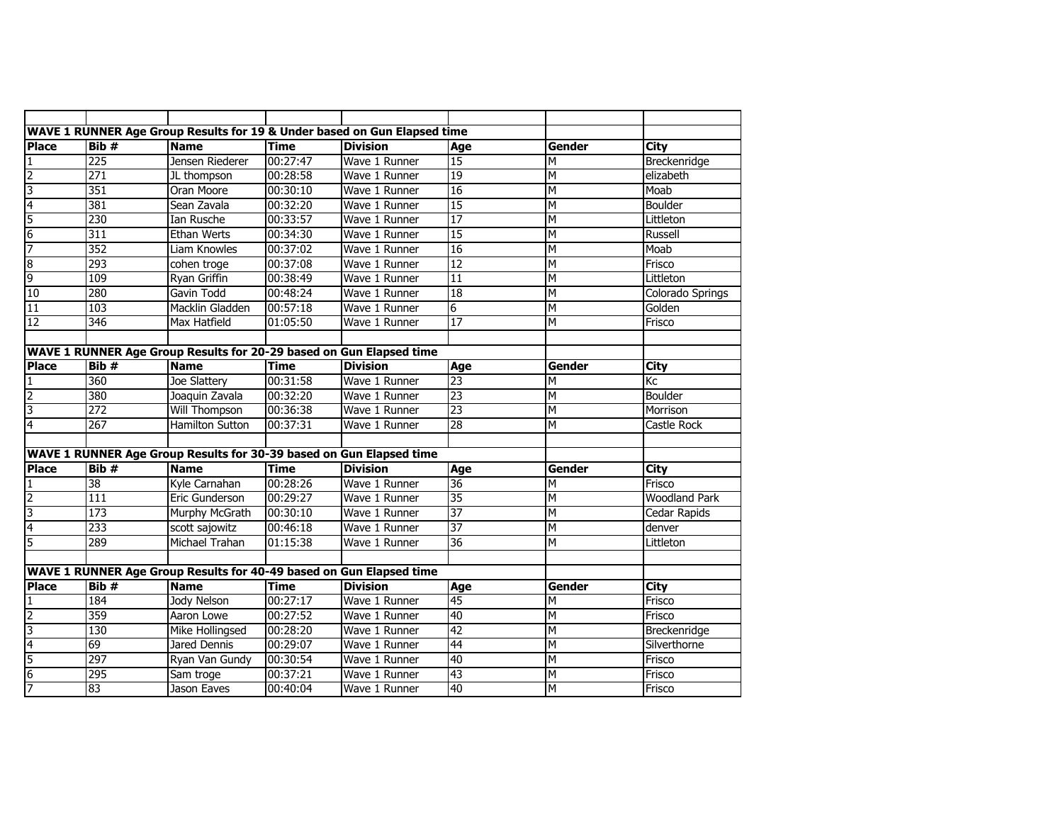|                         |                  | WAVE 1 RUNNER Age Group Results for 19 & Under based on Gun Elapsed time |             |                 |                 |        |                      |
|-------------------------|------------------|--------------------------------------------------------------------------|-------------|-----------------|-----------------|--------|----------------------|
| <b>Place</b>            | Bib#             | <b>Name</b>                                                              | <b>Time</b> | <b>Division</b> | Age             | Gender | City                 |
| 1                       | 225              | Jensen Riederer                                                          | 00:27:47    | Wave 1 Runner   | 15              | M      | Breckenridge         |
| $\overline{2}$          | $\overline{271}$ | JL thompson                                                              | 00:28:58    | Wave 1 Runner   | 19              | M      | elizabeth            |
| 3                       | 351              | Oran Moore                                                               | 00:30:10    | Wave 1 Runner   | 16              | M      | Moab                 |
| $\overline{4}$          | 381              | Sean Zavala                                                              | 00:32:20    | Wave 1 Runner   | 15              | M      | Boulder              |
| 5                       | 230              | <b>Ian Rusche</b>                                                        | 00:33:57    | Wave 1 Runner   | 17              | M      | Littleton            |
| 6                       | 311              | <b>Ethan Werts</b>                                                       | 00:34:30    | Wave 1 Runner   | 15              | M      | <b>Russell</b>       |
| 7                       | 352              | <b>Liam Knowles</b>                                                      | 00:37:02    | Wave 1 Runner   | 16              | M      | Moab                 |
| $\overline{8}$          | 293              | cohen troge                                                              | 00:37:08    | Wave 1 Runner   | $\overline{12}$ | М      | Frisco               |
| 9                       | 109              | Ryan Griffin                                                             | 00:38:49    | Wave 1 Runner   | 11              | М      | Littleton            |
| 10                      | 280              | Gavin Todd                                                               | 00:48:24    | Wave 1 Runner   | 18              | M      | Colorado Springs     |
| 11                      | 103              | <b>Macklin Gladden</b>                                                   | 00:57:18    | Wave 1 Runner   | 6               | M      | Golden               |
| 12                      | 346              | Max Hatfield                                                             | 01:05:50    | Wave 1 Runner   | $\overline{17}$ | М      | Frisco               |
|                         |                  |                                                                          |             |                 |                 |        |                      |
|                         |                  | WAVE 1 RUNNER Age Group Results for 20-29 based on Gun Elapsed time      |             |                 |                 |        |                      |
| <b>Place</b>            | Bib#             | <b>Name</b>                                                              | <b>Time</b> | <b>Division</b> | Age             | Gender | City                 |
| $\mathbf{1}$            | 360              | <b>Joe Slatterv</b>                                                      | 00:31:58    | Wave 1 Runner   | 23              | М      | Кc                   |
| $\overline{c}$          | 380              | Joaquin Zavala                                                           | 00:32:20    | Wave 1 Runner   | 23              | M      | Boulder              |
| 3                       | $\overline{272}$ | <b>Will Thompson</b>                                                     | 00:36:38    | Wave 1 Runner   | 23              | M      | Morrison             |
| $\overline{4}$          | 267              | <b>Hamilton Sutton</b>                                                   | 00:37:31    | Wave 1 Runner   | 28              | M      | Castle Rock          |
|                         |                  |                                                                          |             |                 |                 |        |                      |
|                         |                  | WAVE 1 RUNNER Age Group Results for 30-39 based on Gun Elapsed time      |             |                 |                 |        |                      |
| <b>Place</b>            | Bib #            | <b>Name</b>                                                              | <b>Time</b> | <b>Division</b> | Age             | Gender | City                 |
| 1                       | $\overline{38}$  | Kyle Carnahan                                                            | 00:28:26    | Wave 1 Runner   | 36              | М      | Frisco               |
| $\overline{2}$          | 111              | Eric Gunderson                                                           | 00:29:27    | Wave 1 Runner   | 35              | M      | <b>Woodland Park</b> |
| 3                       | 173              | Murphy McGrath                                                           | 00:30:10    | Wave 1 Runner   | $\overline{37}$ | M      | <b>Cedar Rapids</b>  |
| $\overline{\mathbf{4}}$ | 233              | scott sajowitz                                                           | 00:46:18    | Wave 1 Runner   | 37              | M      | denver               |
| $\overline{5}$          | 289              | Michael Trahan                                                           | 01:15:38    | Wave 1 Runner   | 36              | M      | Littleton            |
|                         |                  |                                                                          |             |                 |                 |        |                      |
|                         |                  | WAVE 1 RUNNER Age Group Results for 40-49 based on Gun Elapsed time      |             |                 |                 |        |                      |
| <b>Place</b>            | Bib#             | <b>Name</b>                                                              | <b>Time</b> | <b>Division</b> | Age             | Gender | City                 |
| 1                       | 184              | Jody Nelson                                                              | 00:27:17    | Wave 1 Runner   | 45              | M      | Frisco               |
| $\overline{2}$          | 359              | Aaron Lowe                                                               | 00:27:52    | Wave 1 Runner   | 40              | М      | Frisco               |
| 3                       | 130              | Mike Hollingsed                                                          | 00:28:20    | Wave 1 Runner   | 42              | M      | Breckenridge         |
| $\overline{4}$          | 69               | Jared Dennis                                                             | 00:29:07    | Wave 1 Runner   | 44              | M      | Silverthorne         |
| 5                       | 297              | Ryan Van Gundy                                                           | 00:30:54    | Wave 1 Runner   | 40              | М      | Frisco               |
| 6                       | 295              | Sam troge                                                                | 00:37:21    | Wave 1 Runner   | 43              | M      | Frisco               |
| 7                       | $\overline{83}$  | <b>Jason Eaves</b>                                                       | 00:40:04    | Wave 1 Runner   | 40              | М      | Frisco               |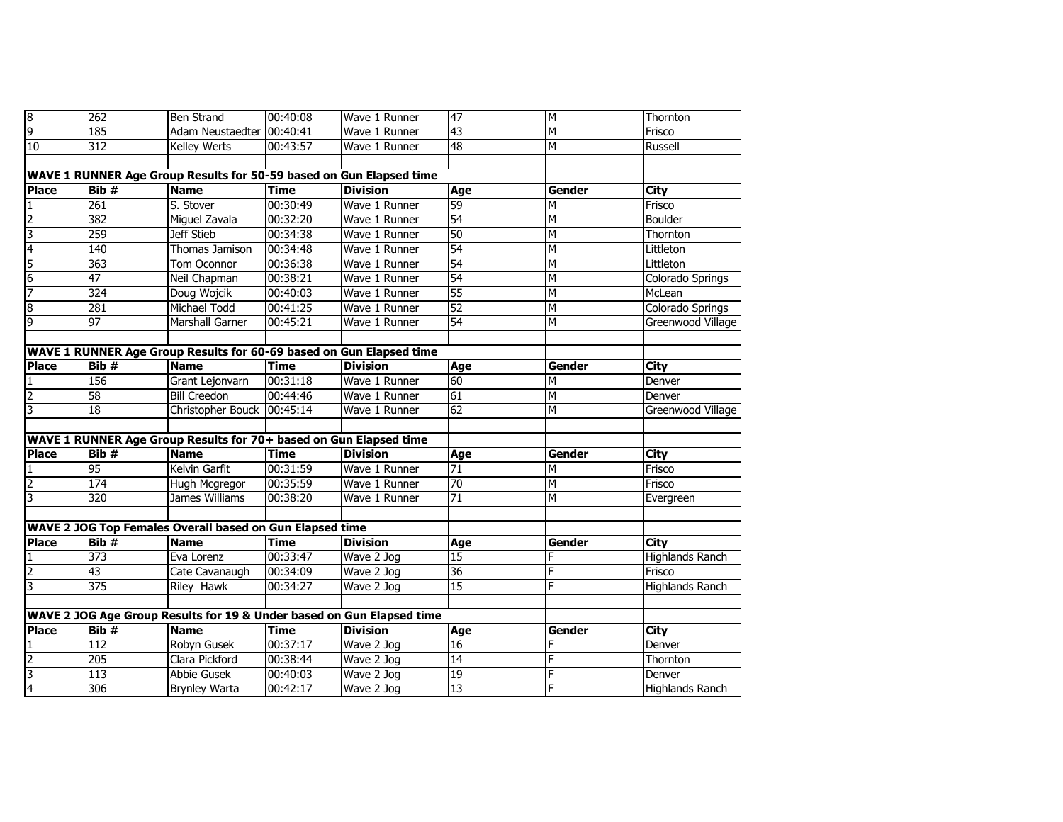| $\overline{8}$ | 262              | <b>Ben Strand</b>                                                     | 00:40:08    | Wave 1 Runner   | 47  | Σ      | Thornton               |
|----------------|------------------|-----------------------------------------------------------------------|-------------|-----------------|-----|--------|------------------------|
| 9              | 185              | Adam Neustaedter 00:40:41                                             |             | Wave 1 Runner   | 43  | M      | Frisco                 |
| 10             | 312              | <b>Kelley Werts</b>                                                   | 00:43:57    | Wave 1 Runner   | 48  | M      | Russell                |
|                |                  |                                                                       |             |                 |     |        |                        |
|                |                  | WAVE 1 RUNNER Age Group Results for 50-59 based on Gun Elapsed time   |             |                 |     |        |                        |
| <b>Place</b>   | Bib#             | <b>Name</b>                                                           | <b>Time</b> | <b>Division</b> | Age | Gender | City                   |
| 1              | 261              | S. Stover                                                             | 00:30:49    | Wave 1 Runner   | 59  | Σ      | Frisco                 |
| $\overline{2}$ | 382              | Miguel Zavala                                                         | 00:32:20    | Wave 1 Runner   | 54  | М      | Boulder                |
| 3              | 259              | Jeff Stieb                                                            | 00:34:38    | Wave 1 Runner   | 50  | M      | Thornton               |
| $\overline{4}$ | 140              | Thomas Jamison                                                        | 00:34:48    | Wave 1 Runner   | 54  | М      | Littleton              |
| 5              | 363              | Tom Oconnor                                                           | 00:36:38    | Wave 1 Runner   | 54  | M      | Littleton              |
| $\overline{6}$ | 47               | Neil Chapman                                                          | 00:38:21    | Wave 1 Runner   | 54  | М      | Colorado Springs       |
| 7              | 324              | Doug Wojcik                                                           | 00:40:03    | Wave 1 Runner   | 55  | M      | McLean                 |
| 8              | 281              | Michael Todd                                                          | 00:41:25    | Wave 1 Runner   | 52  | M      | Colorado Springs       |
| 9              | 97               | Marshall Garner                                                       | 00:45:21    | Wave 1 Runner   | 54  | M      | Greenwood Village      |
|                |                  |                                                                       |             |                 |     |        |                        |
|                |                  | WAVE 1 RUNNER Age Group Results for 60-69 based on Gun Elapsed time   |             |                 |     |        |                        |
| <b>Place</b>   | Bib#             | <b>Name</b>                                                           | <b>Time</b> | <b>Division</b> | Age | Gender | City                   |
| $\mathbf{1}$   | 156              | Grant Lejonvarn                                                       | 00:31:18    | Wave 1 Runner   | 60  | M      | Denver                 |
| $\overline{2}$ | $\overline{58}$  | <b>Bill Creedon</b>                                                   | 00:44:46    | Wave 1 Runner   | 61  | M      | Denver                 |
| 3              | 18               | Christopher Bouck                                                     | 00:45:14    | Wave 1 Runner   | 62  | M      | Greenwood Village      |
|                |                  |                                                                       |             |                 |     |        |                        |
|                |                  | WAVE 1 RUNNER Age Group Results for 70+ based on Gun Elapsed time     |             |                 |     |        |                        |
| <b>Place</b>   | Bib#             | <b>Name</b>                                                           | <b>Time</b> | <b>Division</b> | Age | Gender | <b>City</b>            |
| 1              | 95               | Kelvin Garfit                                                         | 00:31:59    | Wave 1 Runner   | 71  | M      | Frisco                 |
| $\overline{2}$ | 174              | Hugh Mcgregor                                                         | 00:35:59    | Wave 1 Runner   | 70  | М      | Frisco                 |
| س              | 320              | <b>James Williams</b>                                                 | 00:38:20    | Wave 1 Runner   | 71  | M      | Evergreen              |
|                |                  |                                                                       |             |                 |     |        |                        |
|                |                  | WAVE 2 JOG Top Females Overall based on Gun Elapsed time              |             |                 |     |        |                        |
| <b>Place</b>   | Bib#             | <b>Name</b>                                                           | <b>Time</b> | <b>Division</b> | Age | Gender | <b>City</b>            |
| 1              | 373              | Eva Lorenz                                                            | 00:33:47    | Wave 2 Jog      | 15  | F      | <b>Highlands Ranch</b> |
| $\overline{2}$ | 43               | Cate Cavanaugh                                                        | 00:34:09    | Wave 2 Jog      | 36  | F      | Frisco                 |
| 3              | $\overline{375}$ | <b>Riley Hawk</b>                                                     | 00:34:27    | Wave 2 Jog      | 15  | F      | <b>Highlands Ranch</b> |
|                |                  |                                                                       |             |                 |     |        |                        |
|                |                  | WAVE 2 JOG Age Group Results for 19 & Under based on Gun Elapsed time |             |                 |     |        |                        |
| <b>Place</b>   | Bib#             | <b>Name</b>                                                           | <b>Time</b> | <b>Division</b> | Age | Gender | City                   |
| $\mathbf{1}$   | 112              | Robyn Gusek                                                           | 00:37:17    | Wave 2 Jog      | 16  |        | Denver                 |
| $\overline{2}$ | 205              | Clara Pickford                                                        | 00:38:44    | Wave 2 Jog      | 14  | F      | Thornton               |
| 3              | 113              | <b>Abbie Gusek</b>                                                    | 00:40:03    | Wave 2 Jog      | 19  | F      | Denver                 |
| $\overline{4}$ | 306              | <b>Brynley Warta</b>                                                  | 00:42:17    | Wave 2 Jog      | 13  | Ē      | <b>Highlands Ranch</b> |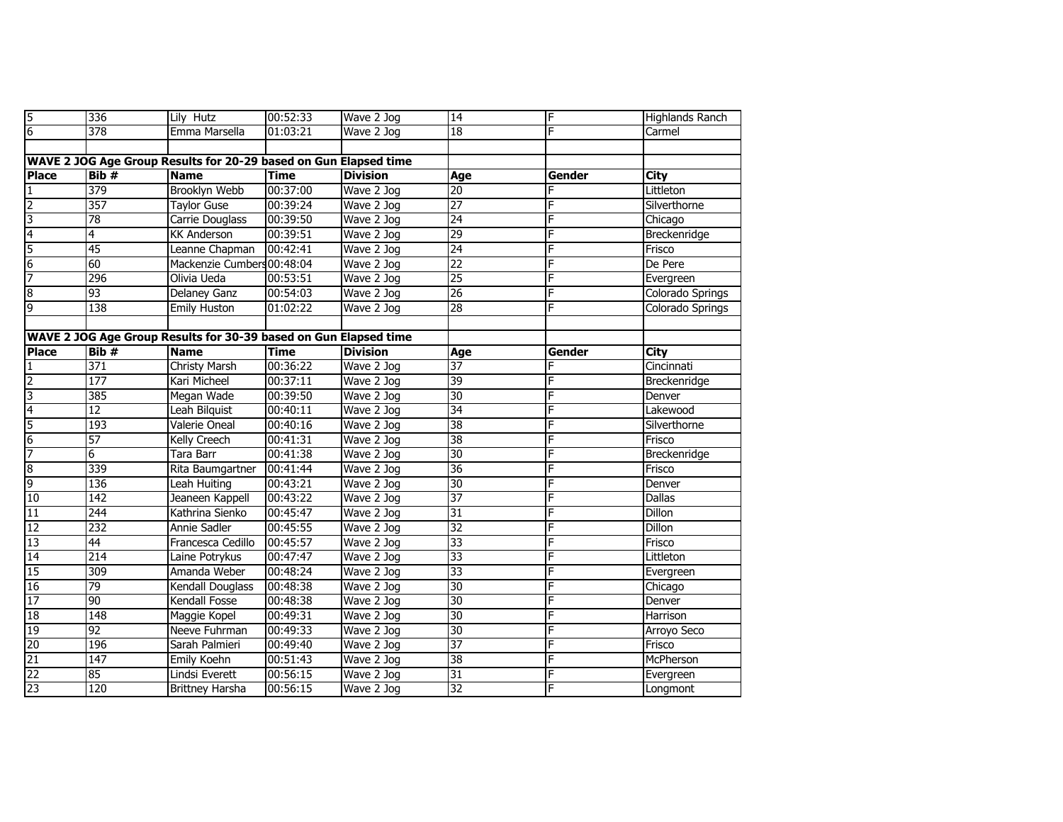| 5                                                                | 336             | Lily Hutz                                                        | 00:52:33    | Wave 2 Jog      | 14              | F      | <b>Highlands Ranch</b> |  |
|------------------------------------------------------------------|-----------------|------------------------------------------------------------------|-------------|-----------------|-----------------|--------|------------------------|--|
| $\overline{6}$                                                   | 378             | Emma Marsella                                                    | 01:03:21    | Wave 2 Jog      | 18              | E      | Carmel                 |  |
|                                                                  |                 |                                                                  |             |                 |                 |        |                        |  |
| WAVE 2 JOG Age Group Results for 20-29 based on Gun Elapsed time |                 |                                                                  |             |                 |                 |        |                        |  |
| <b>Place</b>                                                     | Bib #           | <b>Name</b>                                                      | <b>Time</b> | <b>Division</b> | Age             | Gender | City                   |  |
|                                                                  | 379             | <b>Brooklyn Webb</b>                                             | 00:37:00    | Wave 2 Jog      | 20              |        | Littleton              |  |
| $\overline{2}$                                                   | 357             | <b>Taylor Guse</b>                                               | 00:39:24    | Wave 2 Jog      | $\overline{27}$ | F      | Silverthorne           |  |
| 3                                                                | $\overline{78}$ | Carrie Douglass                                                  | 00:39:50    | Wave 2 Jog      | $\overline{24}$ | F      | Chicago                |  |
| $\overline{4}$                                                   | 4               | <b>KK Anderson</b>                                               | 00:39:51    | Wave 2 Jog      | 29              | F      | Breckenridge           |  |
| 5                                                                | 45              | Leanne Chapman                                                   | 00:42:41    | Wave 2 Jog      | $\overline{24}$ | F      | Frisco                 |  |
| 6                                                                | 60              | Mackenzie Cumbers 00:48:04                                       |             | Wave 2 Jog      | $\overline{22}$ | F      | De Pere                |  |
| 7                                                                | 296             | Olivia Ueda                                                      | 00:53:51    | Wave 2 Jog      | $\overline{25}$ | F      | Evergreen              |  |
| $\overline{8}$                                                   | 93              | Delaney Ganz                                                     | 00:54:03    | Wave 2 Jog      | $\overline{26}$ | F      | Colorado Springs       |  |
| 9                                                                | 138             | <b>Emily Huston</b>                                              | 01:02:22    | Wave 2 Jog      | $\overline{28}$ | F      | Colorado Springs       |  |
|                                                                  |                 |                                                                  |             |                 |                 |        |                        |  |
|                                                                  |                 | WAVE 2 JOG Age Group Results for 30-39 based on Gun Elapsed time |             |                 |                 |        |                        |  |
| <b>Place</b>                                                     | Bib #           | <b>Name</b>                                                      | <b>Time</b> | <b>Division</b> | Age             | Gender | City                   |  |
| 1                                                                | 371             | Christy Marsh                                                    | 00:36:22    | Wave 2 Jog      | $\overline{37}$ | F      | Cincinnati             |  |
| $\overline{2}$                                                   | 177             | Kari Micheel                                                     | 00:37:11    | Wave 2 Jog      | 39              |        | Breckenridge           |  |
| 3                                                                | 385             | Megan Wade                                                       | 00:39:50    | Wave 2 Jog      | 30              | F      | Denver                 |  |
| $\overline{4}$                                                   | $\overline{12}$ | Leah Bilquist                                                    | 00:40:11    | Wave 2 Jog      | 34              |        | Lakewood               |  |
| 5                                                                | 193             | <b>Valerie Oneal</b>                                             | 00:40:16    | Wave 2 Jog      | 38              | F      | Silverthorne           |  |
| $6\overline{6}$                                                  | 57              | Kelly Creech                                                     | 00:41:31    | Wave 2 Jog      | 38              | F      | Frisco                 |  |
| 7                                                                | 6               | Tara Barr                                                        | 00:41:38    | Wave 2 Jog      | 30              | F      | Breckenridge           |  |
| $\overline{8}$                                                   | 339             | Rita Baumgartner                                                 | 00:41:44    | Wave 2 Jog      | 36              |        | Frisco                 |  |
| 9                                                                | 136             | Leah Huiting                                                     | 00:43:21    | Wave 2 Jog      | 30              | F      | Denver                 |  |
| 10                                                               | 142             | Jeaneen Kappell                                                  | 00:43:22    | Wave 2 Jog      | 37              | F      | Dallas                 |  |
| 11                                                               | 244             | Kathrina Sienko                                                  | 00:45:47    | Wave 2 Jog      | 31              | E      | <b>Dillon</b>          |  |
| 12                                                               | 232             | Annie Sadler                                                     | 00:45:55    | Wave 2 Jog      | 32              | F      | <b>Dillon</b>          |  |
| 13                                                               | 44              | Francesca Cedillo                                                | 00:45:57    | Wave 2 Jog      | 33              | F      | Frisco                 |  |
| 14                                                               | 214             | Laine Potrykus                                                   | 00:47:47    | Wave 2 Jog      | 33              | F      | Littleton              |  |
| 15                                                               | 309             | Amanda Weber                                                     | 00:48:24    | Wave 2 Jog      | $\overline{33}$ | F      | Evergreen              |  |
| 16                                                               | 79              | Kendall Douglass                                                 | 00:48:38    | Wave 2 Jog      | 30              | F      | Chicago                |  |
| 17                                                               | 90              | Kendall Fosse                                                    | 00:48:38    | Wave 2 Jog      | 30              | F      | Denver                 |  |
| 18                                                               | 148             | Maggie Kopel                                                     | 00:49:31    | Wave 2 Jog      | 30              | F      | Harrison               |  |
| 19                                                               | 92              | Neeve Fuhrman                                                    | 00:49:33    | Wave 2 Jog      | 30              | F      | Arroyo Seco            |  |
| $\overline{20}$                                                  | 196             | Sarah Palmieri                                                   | 00:49:40    | Wave 2 Jog      | $\overline{37}$ | F      | Frisco                 |  |
| 21                                                               | 147             | Emily Koehn                                                      | 00:51:43    | Wave 2 Jog      | 38              | F      | McPherson              |  |
| 22                                                               | 85              | Lindsi Everett                                                   | 00:56:15    | Wave 2 Jog      | 31              | F      | Evergreen              |  |
| 23                                                               | 120             | <b>Brittney Harsha</b>                                           | 00:56:15    | Wave 2 Jog      | 32              | F      | Longmont               |  |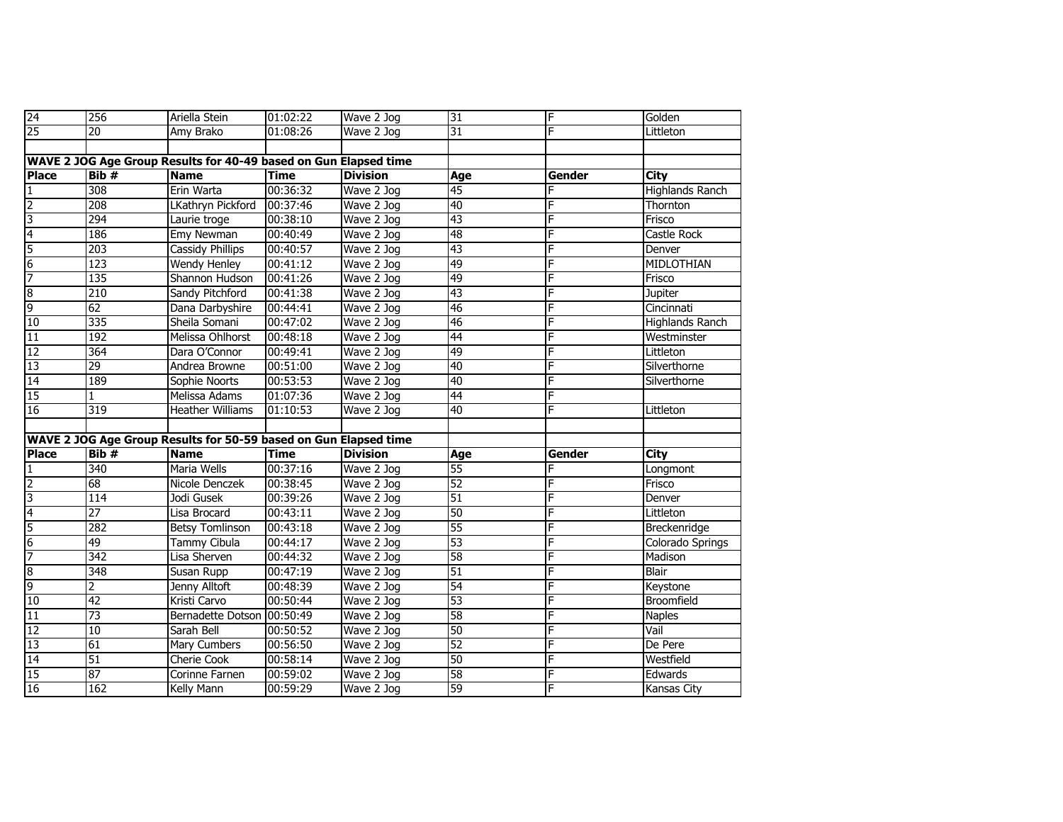| 24              | 256              | Ariella Stein                                                    | 01:02:22    | Wave 2 Jog      | 31              | F      | Golden                 |
|-----------------|------------------|------------------------------------------------------------------|-------------|-----------------|-----------------|--------|------------------------|
| 25              | $\overline{20}$  | Amy Brako                                                        | 01:08:26    | Wave 2 Jog      | $\overline{31}$ | Ē      | Littleton              |
|                 |                  |                                                                  |             |                 |                 |        |                        |
|                 |                  | WAVE 2 JOG Age Group Results for 40-49 based on Gun Elapsed time |             |                 |                 |        |                        |
| <b>Place</b>    | Bib #            | <b>Name</b>                                                      | <b>Time</b> | <b>Division</b> | Age             | Gender | City                   |
| $\mathbf{1}$    | 308              | Erin Warta                                                       | 00:36:32    | Wave 2 Jog      | 45              | F      | <b>Highlands Ranch</b> |
| $\overline{2}$  | 208              | LKathryn Pickford                                                | 00:37:46    | Wave 2 Jog      | 40              | F      | Thornton               |
| 3               | 294              | Laurie troge                                                     | 00:38:10    | Wave 2 Jog      | 43              | F      | Frisco                 |
| 4               | 186              | Emy Newman                                                       | 00:40:49    | Wave 2 Jog      | 48              | F      | Castle Rock            |
| 5               | 203              | <b>Cassidy Phillips</b>                                          | 00:40:57    | Wave 2 Jog      | 43              | F      | Denver                 |
| $6\overline{6}$ | $\overline{123}$ | Wendy Henley                                                     | 00:41:12    | Wave 2 Jog      | 49              | F      | MIDLOTHIAN             |
| 7               | 135              | Shannon Hudson                                                   | 00:41:26    | Wave 2 Jog      | 49              |        | Frisco                 |
| $\overline{8}$  | 210              | Sandy Pitchford                                                  | 00:41:38    | Wave 2 Jog      | 43              | F      | Jupiter                |
| 9               | 62               | Dana Darbyshire                                                  | 00:44:41    | Wave 2 Jog      | 46              | F      | Cincinnati             |
| 10              | 335              | Sheila Somani                                                    | 00:47:02    | Wave 2 Jog      | 46              | F      | Highlands Ranch        |
| 11              | 192              | Melissa Ohlhorst                                                 | 00:48:18    | Wave 2 Jog      | 44              | F      | Westminster            |
| 12              | 364              | Dara O'Connor                                                    | 00:49:41    | Wave 2 Jog      | 49              | F      | Littleton              |
| 13              | 29               | <b>Andrea Browne</b>                                             | 00:51:00    | Wave 2 Jog      | 40              | F      | Silverthorne           |
| 14              | 189              | Sophie Noorts                                                    | 00:53:53    | Wave 2 Jog      | 40              | F      | Silverthorne           |
| 15              | 1                | Melissa Adams                                                    | 01:07:36    | $Wave$ 2 Jog    | 44              | F      |                        |
| 16              | 319              | <b>Heather Williams</b>                                          | 01:10:53    | Wave 2 Jog      | 40              |        | Littleton              |
|                 |                  |                                                                  |             |                 |                 |        |                        |
|                 |                  | WAVE 2 JOG Age Group Results for 50-59 based on Gun Elapsed time |             |                 |                 |        |                        |
| <b>Place</b>    | Bib#             | <b>Name</b>                                                      | <b>Time</b> | <b>Division</b> | Age             | Gender | <b>City</b>            |
| $\mathbf{1}$    | 340              | Maria Wells                                                      | 00:37:16    | Wave 2 Jog      | 55              |        | Longmont               |
| $\overline{2}$  | 68               | Nicole Denczek                                                   | 00:38:45    | Wave 2 Jog      | 52              | F      | Frisco                 |
| 3               | 114              | Jodi Gusek                                                       | 00:39:26    | Wave 2 Jog      | $\overline{51}$ | F      | Denver                 |
| 4               | $\overline{27}$  | Lisa Brocard                                                     | 00:43:11    | Wave 2 Jog      | 50              |        | Littleton              |
| $\overline{5}$  | 282              | <b>Betsy Tomlinson</b>                                           | 00:43:18    | Wave 2 Jog      | 55              | F      | Breckenridge           |
| $6\overline{6}$ | 49               | Tammy Cibula                                                     | 00:44:17    | Wave 2 Jog      | 53              | F      | Colorado Springs       |
| 7               | $\overline{342}$ | Lisa Sherven                                                     | 00:44:32    | Wave 2 Jog      | 58              | F      | Madison                |
| $\overline{8}$  | 348              | Susan Rupp                                                       | 00:47:19    | Wave 2 Jog      | 51              | F      | Blair                  |
| 9               | 2                | Jenny Alltoft                                                    | 00:48:39    | Wave 2 Jog      | 54              | F      | Keystone               |
| 10              | 42               | Kristi Carvo                                                     | 00:50:44    | Wave 2 Jog      | 53              | F      | Broomfield             |
| 11              | $\overline{73}$  | Bernadette Dotson 00:50:49                                       |             | Wave 2 Jog      | 58              | F      | <b>Naples</b>          |
| 12              | 10               | Sarah Bell                                                       | 00:50:52    | Wave 2 Jog      | 50              | F      | Vail                   |
| $\overline{13}$ | 61               | Mary Cumbers                                                     | 00:56:50    | Wave 2 Jog      | 52              | F      | De Pere                |
| 14              | $\overline{51}$  | <b>Cherie Cook</b>                                               | 00:58:14    | Wave 2 Jog      | 50              | F      | Westfield              |
| 15              | 87               | Corinne Farnen                                                   | 00:59:02    | Wave 2 Jog      | 58              | F      | Edwards                |
| 16              | 162              | Kelly Mann                                                       | 00:59:29    | Wave 2 Jog      | 59              | F      | Kansas City            |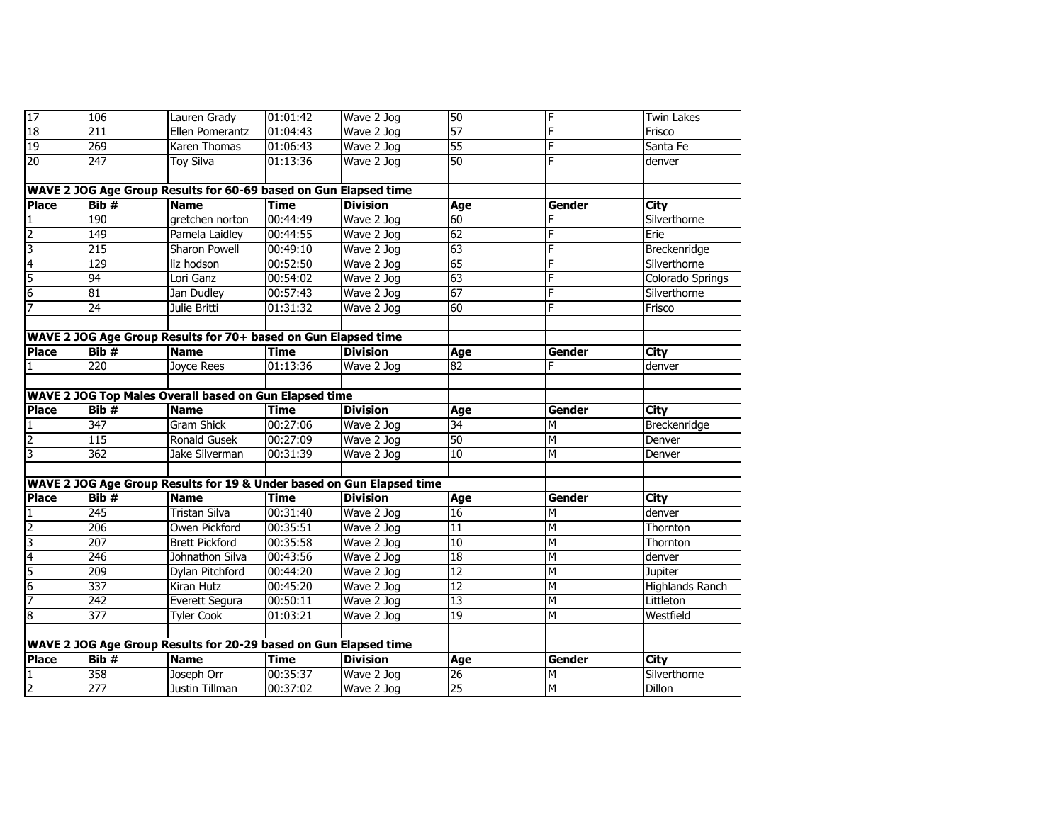| 17                             | 106                | Lauren Grady                                                          | 01:01:42             | Wave 2 Jog               | 50       |                | <b>Twin Lakes</b>      |
|--------------------------------|--------------------|-----------------------------------------------------------------------|----------------------|--------------------------|----------|----------------|------------------------|
| 18                             | $\overline{211}$   | Ellen Pomerantz                                                       | 01:04:43             | Wave 2 Jog               | 57       | F              | Frisco                 |
| 19                             | 269                | Karen Thomas                                                          | 01:06:43             | Wave 2 Jog               | 55       | F              | Santa Fe               |
| $\overline{20}$                | $\overline{247}$   | <b>Toy Silva</b>                                                      | 01:13:36             | Wave 2 Jog               | 50       | F              | denver                 |
|                                |                    |                                                                       |                      |                          |          |                |                        |
|                                |                    | WAVE 2 JOG Age Group Results for 60-69 based on Gun Elapsed time      |                      |                          |          |                |                        |
| <b>Place</b>                   | $\overline{Bib}$ # | <b>Name</b>                                                           | <b>Time</b>          | <b>Division</b>          | Age      | Gender         | City                   |
| $\mathbf{1}$                   | 190                | gretchen norton                                                       | 00:44:49             | Wave 2 Jog               | 60       |                | Silverthorne           |
| $\overline{2}$                 | 149                | Pamela Laidley                                                        | 00:44:55             | Wave 2 Jog               | 62       |                | Erie                   |
| 3                              | 215                | <b>Sharon Powell</b>                                                  | 00:49:10             | Wave 2 Jog               | 63       | F              | Breckenridge           |
| 4                              | 129                | liz hodson                                                            | 00:52:50             | Wave 2 Jog               | 65       | E              | Silverthorne           |
| 5                              | 94                 | Lori Ganz                                                             | 00:54:02             | Wave 2 Jog               | 63       |                | Colorado Springs       |
| $6\overline{6}$                | 81                 | Jan Dudley                                                            | 00:57:43             | Wave 2 Jog               | 67       |                | Silverthorne           |
| $\overline{7}$                 | $\overline{24}$    | Julie Britti                                                          | 01:31:32             | Wave 2 Jog               | 60       | F              | Frisco                 |
|                                |                    |                                                                       |                      |                          |          |                |                        |
|                                |                    | WAVE 2 JOG Age Group Results for 70+ based on Gun Elapsed time        |                      |                          |          |                |                        |
| <b>Place</b>                   | Bib#               | <b>Name</b>                                                           | <b>Time</b>          | <b>Division</b>          | Age      | Gender         | City                   |
| 1                              | $\overline{220}$   | Joyce Rees                                                            | 01:13:36             | Wave 2 Jog               | 82       | E              | denver                 |
|                                |                    |                                                                       |                      |                          |          |                |                        |
|                                |                    | <b>WAVE 2 JOG Top Males Overall based on Gun Elapsed time</b>         |                      |                          |          |                |                        |
|                                |                    |                                                                       |                      |                          |          |                |                        |
| <b>Place</b>                   | Bib#               | <b>Name</b>                                                           | <b>Time</b>          | <b>Division</b>          | Age      | Gender         | City                   |
| 1                              | 347                | <b>Gram Shick</b>                                                     | 00:27:06             | Wave 2 Jog               | 34       | M              | Breckenridge           |
| $\overline{2}$                 | 115                | Ronald Gusek                                                          | 00:27:09             | Wave 2 Jog               | 50       | М              | Denver                 |
| 3                              | $\overline{362}$   | Jake Silverman                                                        | 00:31:39             | Wave 2 Jog               | 10       | M              | Denver                 |
|                                |                    |                                                                       |                      |                          |          |                |                        |
|                                |                    | WAVE 2 JOG Age Group Results for 19 & Under based on Gun Elapsed time |                      |                          |          |                |                        |
| <b>Place</b>                   | Bib#               | <b>Name</b>                                                           | <b>Time</b>          | <b>Division</b>          | Age      | Gender         | City                   |
| $\mathbf{1}$                   | 245                | <b>Tristan Silva</b>                                                  | 00:31:40             | Wave 2 Jog               | 16       | M              | denver                 |
| $\overline{2}$                 | 206                | Owen Pickford                                                         | 00:35:51             | Wave 2 Jog               | 11       | M              | Thornton               |
| 3                              | 207                | <b>Brett Pickford</b>                                                 | 00:35:58             | Wave 2 Jog               | 10       | M              | Thornton               |
| $\overline{4}$                 | 246                | Johnathon Silva                                                       | 00:43:56             | Wave 2 Jog               | 18       | М              | denver                 |
| 5                              | 209                | Dylan Pitchford                                                       | 00:44:20             | Wave 2 Jog               | 12       | M              | <b>Jupiter</b>         |
| 6                              | 337                | Kiran Hutz                                                            | 00:45:20             | Wave 2 Jog               | 12       | М              | <b>Highlands Ranch</b> |
| 7                              | $\overline{242}$   | Everett Segura                                                        | 00:50:11             | Wave 2 Jog               | 13       | Ν              | Littleton              |
| 8                              | $\overline{377}$   | <b>Tyler Cook</b>                                                     | 01:03:21             | Wave 2 Jog               | 19       | $\overline{M}$ | Westfield              |
|                                |                    |                                                                       |                      |                          |          |                |                        |
|                                |                    | WAVE 2 JOG Age Group Results for 20-29 based on Gun Elapsed time      |                      |                          |          |                |                        |
| <b>Place</b>                   | Bib#               | <b>Name</b>                                                           | <b>Time</b>          | <b>Division</b>          | Age      | Gender         | City                   |
| $\mathbf{1}$<br>$\overline{2}$ | 358<br>277         | Joseph Orr<br>Justin Tillman                                          | 00:35:37<br>00:37:02 | Wave 2 Jog<br>Wave 2 Jog | 26<br>25 | M              | Silverthorne           |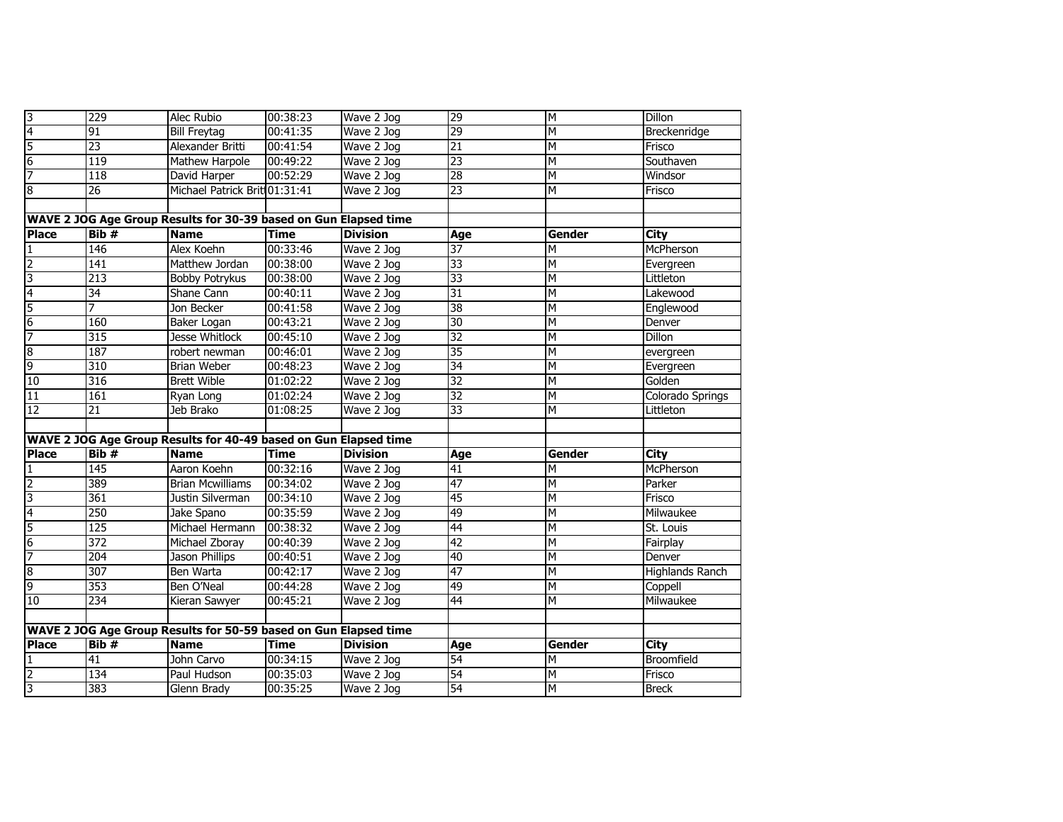| $\overline{3}$  | 229                | Alec Rubio                                                       | 00:38:23    | Wave 2 Jog      | 29              | M      | Dillon                 |
|-----------------|--------------------|------------------------------------------------------------------|-------------|-----------------|-----------------|--------|------------------------|
| 4               | 91                 | <b>Bill Freytag</b>                                              | 00:41:35    | Wave 2 Jog      | 29              | M      | Breckenridge           |
| 5               | $\overline{23}$    | Alexander Britti                                                 | 00:41:54    | Wave 2 Jog      | $\overline{21}$ | М      | Frisco                 |
| $6\overline{6}$ | 119                | Mathew Harpole                                                   | 00:49:22    | Wave 2 Jog      | $\overline{23}$ | М      | Southaven              |
| 7               | 118                | David Harper                                                     | 00:52:29    | Wave 2 Jog      | 28              | M      | Windsor                |
| 8               | $\overline{26}$    | Michael Patrick Brit 01:31:41                                    |             | Wave 2 Jog      | 23              | Μ      | Frisco                 |
|                 |                    |                                                                  |             |                 |                 |        |                        |
|                 |                    | WAVE 2 JOG Age Group Results for 30-39 based on Gun Elapsed time |             |                 |                 |        |                        |
| <b>Place</b>    | Bib#               | <b>Name</b>                                                      | <b>Time</b> | <b>Division</b> | Age             | Gender | <b>City</b>            |
| 1               | 146                | Alex Koehn                                                       | 00:33:46    | Wave 2 Jog      | 37              | M      | McPherson              |
| $\overline{2}$  | $\overline{141}$   | Matthew Jordan                                                   | 00:38:00    | Wave 2 Jog      | 33              | М      | Evergreen              |
| 3               | 213                | <b>Bobby Potrykus</b>                                            | 00:38:00    | Wave 2 Jog      | 33              | M      | Littleton              |
| $\overline{4}$  | 34                 | Shane Cann                                                       | 00:40:11    | Wave 2 Jog      | 31              | M      | Lakewood               |
| 5               | 7                  | Jon Becker                                                       | 00:41:58    | Wave 2 Jog      | 38              | М      | Englewood              |
| $6\overline{6}$ | 160                | Baker Logan                                                      | 00:43:21    | Wave 2 Jog      | 30              | M      | Denver                 |
| 7               | 315                | <b>Jesse Whitlock</b>                                            | 00:45:10    | Wave 2 Jog      | 32              | M      | <b>Dillon</b>          |
| 8               | 187                | robert newman                                                    | 00:46:01    | Wave 2 Jog      | 35              | M      | evergreen              |
| 9               | 310                | <b>Brian Weber</b>                                               | 00:48:23    | Wave 2 Jog      | 34              | M      | Evergreen              |
| 10              | 316                | <b>Brett Wible</b>                                               | 01:02:22    | Wave 2 Jog      | 32              | М      | Golden                 |
| 11              | 161                | Ryan Long                                                        | 01:02:24    | Wave 2 Jog      | 32              | M      | Colorado Springs       |
| 12              | $\overline{21}$    | Jeb Brako                                                        | 01:08:25    | Wave 2 Jog      | 33              | M      | Littleton              |
|                 |                    |                                                                  |             |                 |                 |        |                        |
|                 |                    | WAVE 2 JOG Age Group Results for 40-49 based on Gun Elapsed time |             |                 |                 |        |                        |
| <b>Place</b>    | Bib#               | <b>Name</b>                                                      | <b>Time</b> | <b>Division</b> | Age             | Gender | <b>City</b>            |
| $\mathbf{1}$    | 145                | Aaron Koehn                                                      | 00:32:16    | Wave 2 Jog      | 41              | Μ      | McPherson              |
| $\overline{2}$  | 389                | <b>Brian Mcwilliams</b>                                          | 00:34:02    | Wave 2 Jog      | 47              | M      | Parker                 |
| 3               | 361                | Justin Silverman                                                 | 00:34:10    | Wave 2 Jog      | 45              | М      | Frisco                 |
| 4               | 250                | Jake Spano                                                       | 00:35:59    | Wave 2 Jog      | 49              | М      | Milwaukee              |
| 5               | 125                | Michael Hermann                                                  | 00:38:32    | Wave 2 Jog      | 44              | M      | St. Louis              |
| $6\overline{6}$ | $\overline{372}$   | Michael Zboray                                                   | 00:40:39    | Wave 2 Jog      | 42              | М      | Fairplay               |
| 7               | 204                | Jason Phillips                                                   | 00:40:51    | Wave 2 Jog      | 40              | Μ      | Denver                 |
| $\overline{8}$  | 307                | Ben Warta                                                        | 00:42:17    | Wave 2 Jog      | 47              | M      | <b>Highlands Ranch</b> |
| 9               | 353                | Ben O'Neal                                                       | 00:44:28    | Wave 2 Jog      | 49              | M      | Coppell                |
| 10              | 234                | Kieran Sawyer                                                    | 00:45:21    | Wave 2 Jog      | 44              | M      | Milwaukee              |
|                 |                    |                                                                  |             |                 |                 |        |                        |
|                 |                    | WAVE 2 JOG Age Group Results for 50-59 based on Gun Elapsed time |             |                 |                 |        |                        |
| <b>Place</b>    | $\overline{Bib}$ # | <b>Name</b>                                                      | <b>Time</b> | <b>Division</b> | Age             | Gender | <b>City</b>            |
| 1               | 41                 | John Carvo                                                       | 00:34:15    | Wave 2 Jog      | 54              | M      | Broomfield             |
| $\overline{2}$  | 134                | Paul Hudson                                                      | 00:35:03    | Wave 2 Jog      | 54              | Μ      | Frisco                 |
| اما             | 383                | Glenn Brady                                                      | 00:35:25    | Wave 2 Jog      | 54              | М      | <b>Breck</b>           |